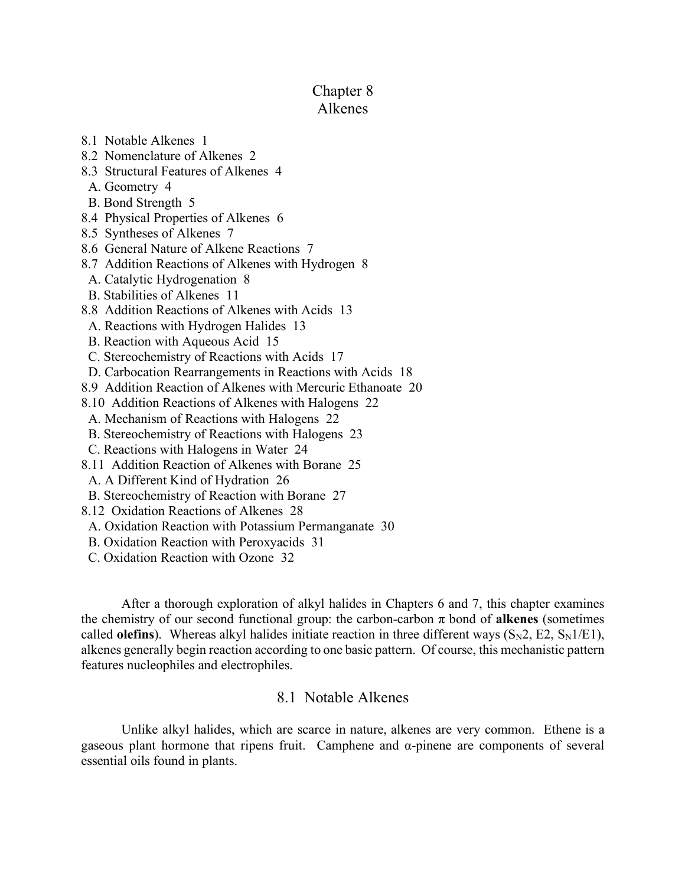# Chapter 8

## Alkenes

- 8.1 Notable Alkenes 1
- 8.2 Nomenclature of Alkenes 2
- 8.3 Structural Features of Alkenes 4
- A. Geometry 4
- B. Bond Strength 5
- 8.4 Physical Properties of Alkenes 6
- 8.5 Syntheses of Alkenes 7
- 8.6 General Nature of Alkene Reactions 7
- 8.7 Addition Reactions of Alkenes with Hydrogen 8
- A. Catalytic Hydrogenation 8
- B. Stabilities of Alkenes 11
- 8.8 Addition Reactions of Alkenes with Acids 13
- A. Reactions with Hydrogen Halides 13
- B. Reaction with Aqueous Acid 15
- C. Stereochemistry of Reactions with Acids 17
- D. Carbocation Rearrangements in Reactions with Acids 18
- 8.9 Addition Reaction of Alkenes with Mercuric Ethanoate 20
- 8.10 Addition Reactions of Alkenes with Halogens 22
- A. Mechanism of Reactions with Halogens 22
- B. Stereochemistry of Reactions with Halogens 23
- C. Reactions with Halogens in Water 24
- 8.11 Addition Reaction of Alkenes with Borane 25
	- A. A Different Kind of Hydration 26
- B. Stereochemistry of Reaction with Borane 27
- 8.12 Oxidation Reactions of Alkenes 28
- A. Oxidation Reaction with Potassium Permanganate 30
- B. Oxidation Reaction with Peroxyacids 31
- C. Oxidation Reaction with Ozone 32

After a thorough exploration of alkyl halides in Chapters 6 and 7, this chapter examines the chemistry of our second functional group: the carbon-carbon  $\pi$  bond of **alkenes** (sometimes called **olefins**). Whereas alkyl halides initiate reaction in three different ways  $(S_N2, E2, S_N1/E1)$ , alkenes generally begin reaction according to one basic pattern. Of course, this mechanistic pattern features nucleophiles and electrophiles.

## 8.1 Notable Alkenes

Unlike alkyl halides, which are scarce in nature, alkenes are very common. Ethene is a gaseous plant hormone that ripens fruit. Camphene and α-pinene are components of several essential oils found in plants.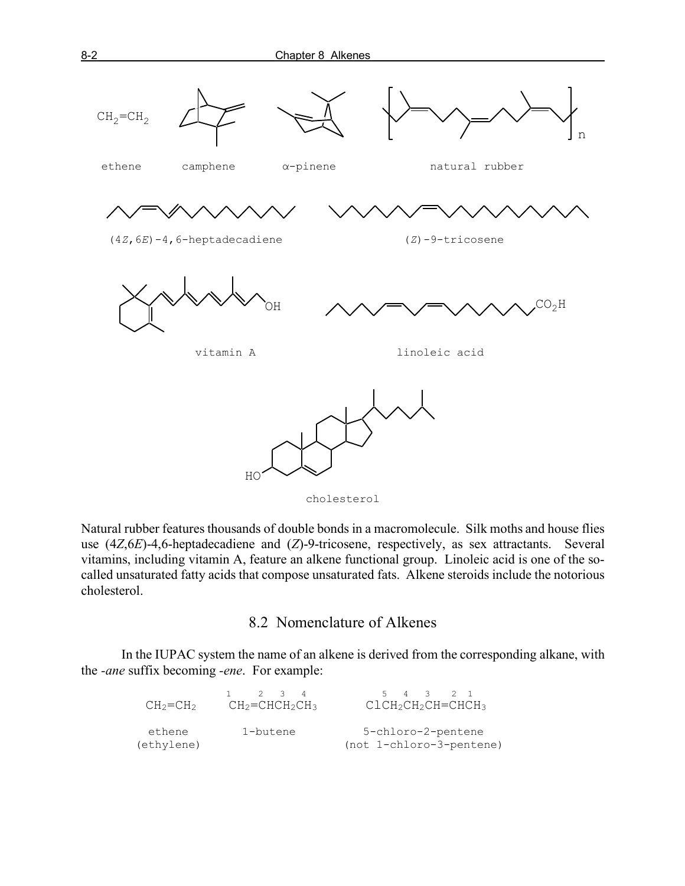

Natural rubber features thousands of double bonds in a macromolecule. Silk moths and house flies use (4*Z*,6*E*)-4,6-heptadecadiene and (*Z*)-9-tricosene, respectively, as sex attractants. Several vitamins, including vitamin A, feature an alkene functional group. Linoleic acid is one of the socalled unsaturated fatty acids that compose unsaturated fats. Alkene steroids include the notorious cholesterol.

8.2 Nomenclature of Alkenes

In the IUPAC system the name of an alkene is derived from the corresponding alkane, with the *-ane* suffix becoming *-ene*. For example:

| $CH_2=CH_2$          | $1 \t2 \t3 \t4$<br>$CH2=CHCH2CH3$ | 5 4 3 2 1<br>ClCH <sub>2</sub> CH <sub>2</sub> CH=CHCH3 |
|----------------------|-----------------------------------|---------------------------------------------------------|
| ethene<br>(ethylene) | 1-butene                          | 5-chloro-2-pentene<br>(not 1-chloro-3-pentene)          |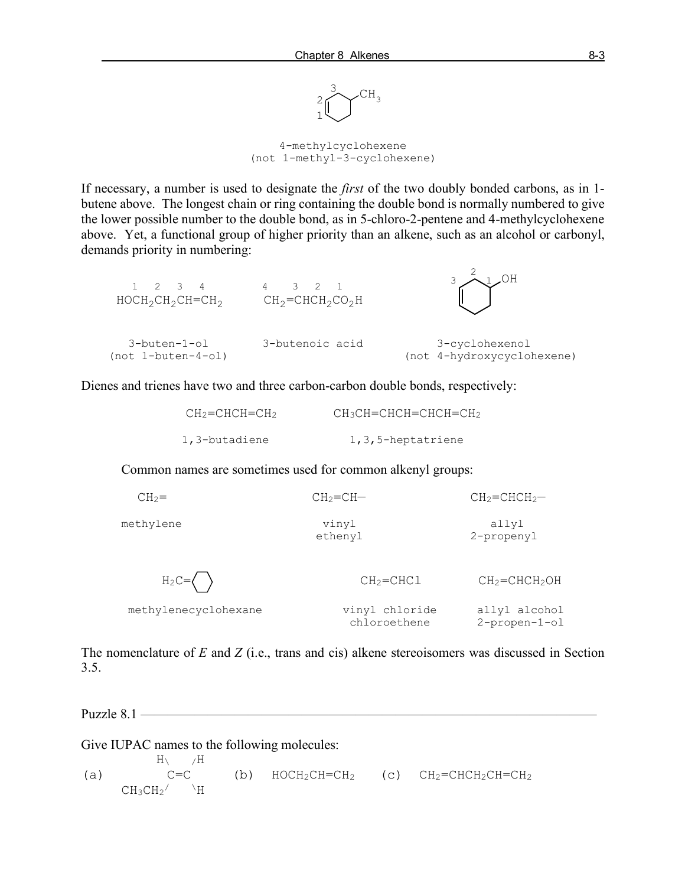

4-methylcyclohexene (not 1-methyl-3-cyclohexene)

If necessary, a number is used to designate the *first* of the two doubly bonded carbons, as in 1 butene above. The longest chain or ring containing the double bond is normally numbered to give the lower possible number to the double bond, as in 5-chloro-2-pentene and 4-methylcyclohexene above. Yet, a functional group of higher priority than an alkene, such as an alcohol or carbonyl, demands priority in numbering:

| $1 \t2 \t3 \t4$<br>$HOCH_2CH_2CH=CH_2$ | 4 3 2 1<br>$CH_2=CHCH_2CO_2H$ |                                              |
|----------------------------------------|-------------------------------|----------------------------------------------|
| 3-buten-1-ol<br>(not 1-buten-4-ol)     | 3-butenoic acid               | 3-cyclohexenol<br>(not 4-hydroxycyclohexene) |

Dienes and trienes have two and three carbon-carbon double bonds, respectively:

| $CH2=CHCH=CH2$ | $CH_3CH=CHCH=CHCH=CH_2$ |
|----------------|-------------------------|
| 1,3-butadiene  | 1,3,5-heptatriene       |

Common names are sometimes used for common alkenyl groups:

| $CH2=$               | $CH2=CH-$                      | $CH2=CHCH2$ -                         |
|----------------------|--------------------------------|---------------------------------------|
| methylene            | vinyl<br>ethenyl               | allyl<br>2-propenyl                   |
| $H_2C=\langle$       | $CH2=CHCl$                     | $CH2=CHCH2OH$                         |
| methylenecyclohexane | vinyl chloride<br>chloroethene | allyl alcohol<br>$2$ -propen- $1$ -ol |

The nomenclature of *E* and *Z* (i.e., trans and cis) alkene stereoisomers was discussed in Section 3.5.

Puzzle  $8.1$  —

Give IUPAC names to the following molecules:

 $H\setminus$  /H<br>C=C (a)  $C=C$  (b)  $HOCH_2CH=CH_2$  (c)  $CH_2=CHCH_2CH=CH_2$  $CH_3CH_2$   $\rightarrow$  H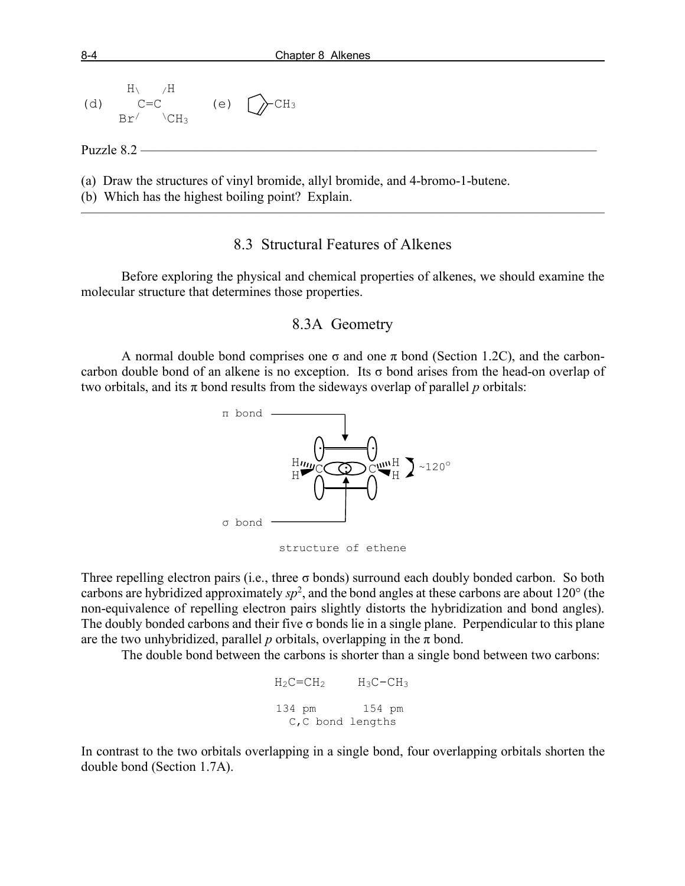

#### 8.3 Structural Features of Alkenes

Before exploring the physical and chemical properties of alkenes, we should examine the molecular structure that determines those properties.

#### 8.3A Geometry

A normal double bond comprises one  $\sigma$  and one  $\pi$  bond (Section 1.2C), and the carboncarbon double bond of an alkene is no exception. Its  $\sigma$  bond arises from the head-on overlap of two orbitals, and its  $\pi$  bond results from the sideways overlap of parallel *p* orbitals:





Three repelling electron pairs (i.e., three  $\sigma$  bonds) surround each doubly bonded carbon. So both carbons are hybridized approximately  $sp^2$ , and the bond angles at these carbons are about 120 $\degree$  (the non-equivalence of repelling electron pairs slightly distorts the hybridization and bond angles). The doubly bonded carbons and their five  $\sigma$  bonds lie in a single plane. Perpendicular to this plane are the two unhybridized, parallel  $p$  orbitals, overlapping in the  $\pi$  bond.

The double bond between the carbons is shorter than a single bond between two carbons:

 $H_2C=CH_2$   $H_3C-CH_3$  134 pm 154 pm C,C bond lengths

In contrast to the two orbitals overlapping in a single bond, four overlapping orbitals shorten the double bond (Section 1.7A).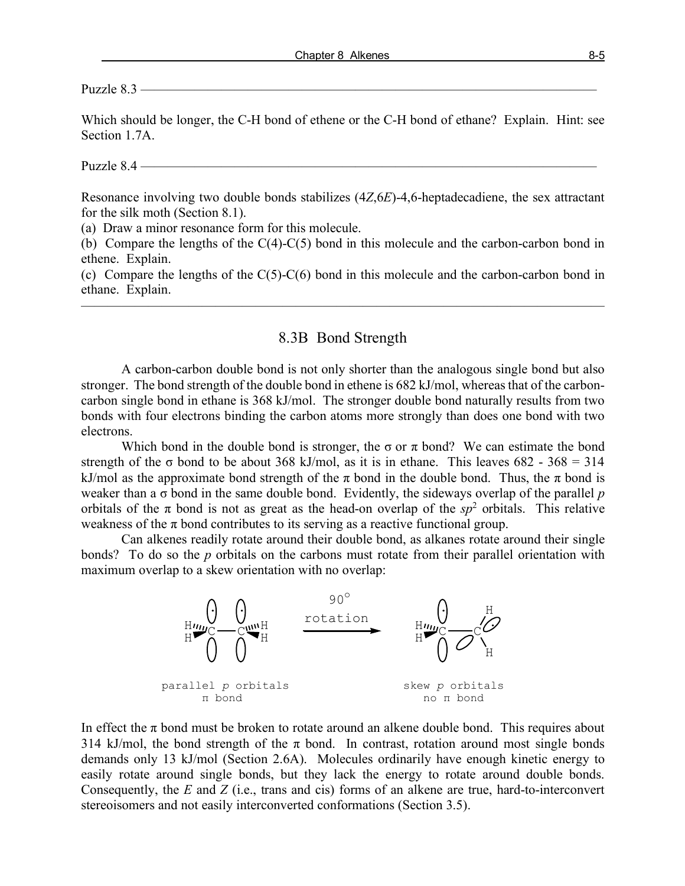Puzzle 8.3 ——————————————————————————————————

Which should be longer, the C-H bond of ethene or the C-H bond of ethane? Explain. Hint: see Section 1.7A.

Puzzle 8.4 ——————————————————————————————————

Resonance involving two double bonds stabilizes (4*Z*,6*E*)-4,6-heptadecadiene, the sex attractant for the silk moth (Section 8.1).

(a) Draw a minor resonance form for this molecule.

(b) Compare the lengths of the C(4)-C(5) bond in this molecule and the carbon-carbon bond in ethene. Explain.

(c) Compare the lengths of the  $C(5)$ - $C(6)$  bond in this molecule and the carbon-carbon bond in ethane. Explain.

———————————————————————————————————————

#### 8.3B Bond Strength

A carbon-carbon double bond is not only shorter than the analogous single bond but also stronger. The bond strength of the double bond in ethene is 682 kJ/mol, whereas that of the carboncarbon single bond in ethane is 368 kJ/mol. The stronger double bond naturally results from two bonds with four electrons binding the carbon atoms more strongly than does one bond with two electrons.

Which bond in the double bond is stronger, the  $\sigma$  or  $\pi$  bond? We can estimate the bond strength of the  $\sigma$  bond to be about 368 kJ/mol, as it is in ethane. This leaves 682 - 368 = 314 kJ/mol as the approximate bond strength of the  $\pi$  bond in the double bond. Thus, the  $\pi$  bond is weaker than a σ bond in the same double bond. Evidently, the sideways overlap of the parallel *p* orbitals of the  $\pi$  bond is not as great as the head-on overlap of the  $sp^2$  orbitals. This relative weakness of the  $\pi$  bond contributes to its serving as a reactive functional group.

Can alkenes readily rotate around their double bond, as alkanes rotate around their single bonds? To do so the *p* orbitals on the carbons must rotate from their parallel orientation with maximum overlap to a skew orientation with no overlap:



In effect the  $\pi$  bond must be broken to rotate around an alkene double bond. This requires about 314 kJ/mol, the bond strength of the  $\pi$  bond. In contrast, rotation around most single bonds demands only 13 kJ/mol (Section 2.6A). Molecules ordinarily have enough kinetic energy to easily rotate around single bonds, but they lack the energy to rotate around double bonds. Consequently, the *E* and *Z* (i.e., trans and cis) forms of an alkene are true, hard-to-interconvert stereoisomers and not easily interconverted conformations (Section 3.5).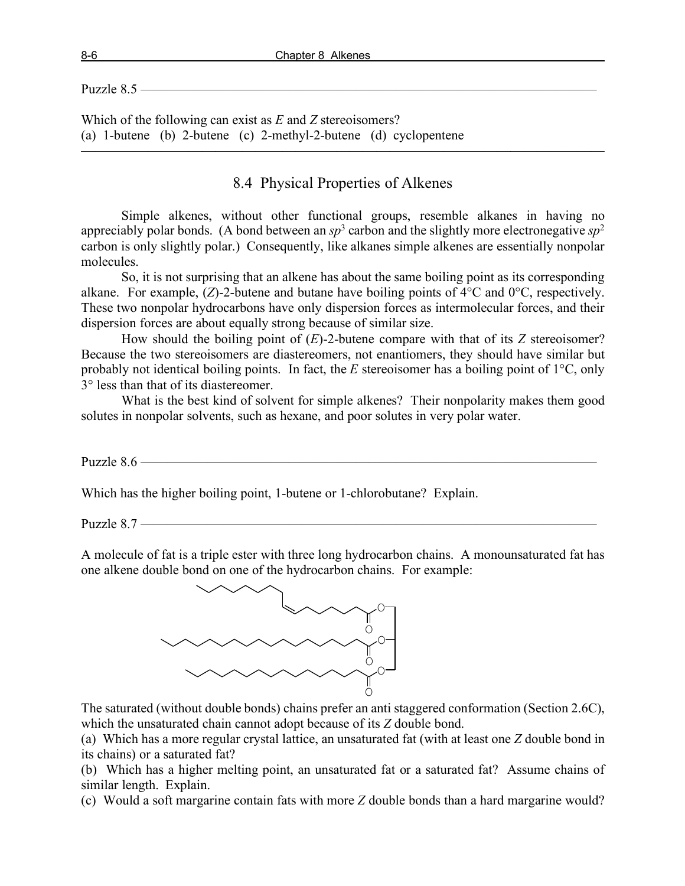Puzzle 8.5 ——————————————————————————————————

Which of the following can exist as *E* and *Z* stereoisomers? (a) 1-butene (b) 2-butene (c) 2-methyl-2-butene (d) cyclopentene

## 8.4 Physical Properties of Alkenes

———————————————————————————————————————

Simple alkenes, without other functional groups, resemble alkanes in having no appreciably polar bonds. (A bond between an  $sp^3$  carbon and the slightly more electronegative  $sp^2$ carbon is only slightly polar.) Consequently, like alkanes simple alkenes are essentially nonpolar molecules.

So, it is not surprising that an alkene has about the same boiling point as its corresponding alkane. For example, (*Z*)-2-butene and butane have boiling points of 4°C and 0°C, respectively. These two nonpolar hydrocarbons have only dispersion forces as intermolecular forces, and their dispersion forces are about equally strong because of similar size.

How should the boiling point of (*E*)-2-butene compare with that of its *Z* stereoisomer? Because the two stereoisomers are diastereomers, not enantiomers, they should have similar but probably not identical boiling points. In fact, the *E* stereoisomer has a boiling point of 1°C, only 3° less than that of its diastereomer.

What is the best kind of solvent for simple alkenes? Their nonpolarity makes them good solutes in nonpolar solvents, such as hexane, and poor solutes in very polar water.

Puzzle 8.6 —————

Which has the higher boiling point, 1-butene or 1-chlorobutane? Explain.

Puzzle 8.7 —

A molecule of fat is a triple ester with three long hydrocarbon chains. A monounsaturated fat has one alkene double bond on one of the hydrocarbon chains. For example:



The saturated (without double bonds) chains prefer an anti staggered conformation (Section 2.6C), which the unsaturated chain cannot adopt because of its *Z* double bond.

(a) Which has a more regular crystal lattice, an unsaturated fat (with at least one *Z* double bond in its chains) or a saturated fat?

(b) Which has a higher melting point, an unsaturated fat or a saturated fat? Assume chains of similar length. Explain.

(c) Would a soft margarine contain fats with more *Z* double bonds than a hard margarine would?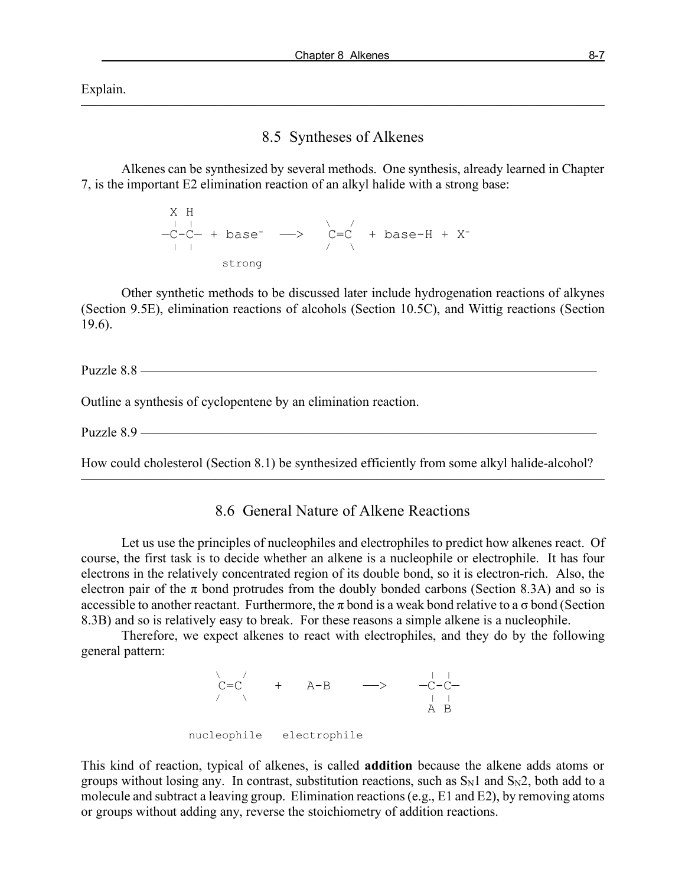Explain.

#### 8.5 Syntheses of Alkenes

———————————————————————————————————————

Alkenes can be synthesized by several methods. One synthesis, already learned in Chapter 7, is the important E2 elimination reaction of an alkyl halide with a strong base:

 X H | | \ / —C-C— + base- ——> C=C + base-H + X- | | / \ strong

Other synthetic methods to be discussed later include hydrogenation reactions of alkynes (Section 9.5E), elimination reactions of alcohols (Section 10.5C), and Wittig reactions (Section 19.6).

Puzzle 8.8 ————

Outline a synthesis of cyclopentene by an elimination reaction.

Puzzle 8.9

How could cholesterol (Section 8.1) be synthesized efficiently from some alkyl halide-alcohol? ———————————————————————————————————————

### 8.6 General Nature of Alkene Reactions

Let us use the principles of nucleophiles and electrophiles to predict how alkenes react. Of course, the first task is to decide whether an alkene is a nucleophile or electrophile. It has four electrons in the relatively concentrated region of its double bond, so it is electron-rich. Also, the electron pair of the  $\pi$  bond protrudes from the doubly bonded carbons (Section 8.3A) and so is accessible to another reactant. Furthermore, the  $\pi$  bond is a weak bond relative to a  $\sigma$  bond (Section 8.3B) and so is relatively easy to break. For these reasons a simple alkene is a nucleophile.

Therefore, we expect alkenes to react with electrophiles, and they do by the following general pattern:

 $\sqrt{2}$  /  $\sqrt{2}$  /  $\sqrt{2}$  /  $\sqrt{2}$  /  $\sqrt{2}$  /  $\sqrt{2}$  /  $\sqrt{2}$  /  $\sqrt{2}$  /  $\sqrt{2}$  /  $\sqrt{2}$  /  $\sqrt{2}$  /  $\sqrt{2}$  /  $\sqrt{2}$  /  $\sqrt{2}$  /  $\sqrt{2}$  /  $\sqrt{2}$  /  $\sqrt{2}$  /  $\sqrt{2}$  /  $\sqrt{2}$  /  $\sqrt{2}$  /  $\sqrt{2}$  /  $\sqrt{2}$  /  $C=C$  + A-B ——> —C-C—<br>
/ A B nucleophile electrophile

This kind of reaction, typical of alkenes, is called **addition** because the alkene adds atoms or groups without losing any. In contrast, substitution reactions, such as  $S_N1$  and  $S_N2$ , both add to a molecule and subtract a leaving group. Elimination reactions (e.g., E1 and E2), by removing atoms or groups without adding any, reverse the stoichiometry of addition reactions.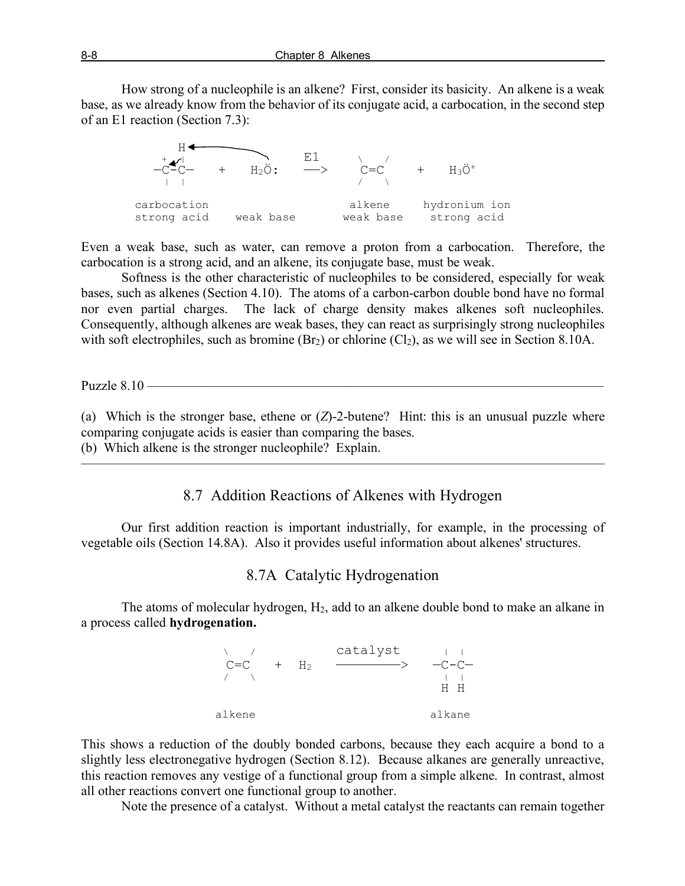How strong of a nucleophile is an alkene? First, consider its basicity. An alkene is a weak base, as we already know from the behavior of its conjugate acid, a carbocation, in the second step of an E1 reaction (Section 7.3):



Even a weak base, such as water, can remove a proton from a carbocation. Therefore, the carbocation is a strong acid, and an alkene, its conjugate base, must be weak.

Softness is the other characteristic of nucleophiles to be considered, especially for weak bases, such as alkenes (Section 4.10). The atoms of a carbon-carbon double bond have no formal nor even partial charges. The lack of charge density makes alkenes soft nucleophiles. Consequently, although alkenes are weak bases, they can react as surprisingly strong nucleophiles with soft electrophiles, such as bromine  $(Br<sub>2</sub>)$  or chlorine  $(Cl<sub>2</sub>)$ , as we will see in Section 8.10A.

Puzzle 8.10 ——

(a) Which is the stronger base, ethene or (*Z*)-2-butene? Hint: this is an unusual puzzle where comparing conjugate acids is easier than comparing the bases. (b) Which alkene is the stronger nucleophile? Explain.

 $\overline{\phantom{a}}$  , and the contract of the contract of  $\overline{\phantom{a}}$ 

#### 8.7 Addition Reactions of Alkenes with Hydrogen

Our first addition reaction is important industrially, for example, in the processing of vegetable oils (Section 14.8A). Also it provides useful information about alkenes' structures.

#### 8.7A Catalytic Hydrogenation

The atoms of molecular hydrogen, H<sub>2</sub>, add to an alkene double bond to make an alkane in a process called **hydrogenation.**



This shows a reduction of the doubly bonded carbons, because they each acquire a bond to a slightly less electronegative hydrogen (Section 8.12). Because alkanes are generally unreactive, this reaction removes any vestige of a functional group from a simple alkene. In contrast, almost all other reactions convert one functional group to another.

Note the presence of a catalyst. Without a metal catalyst the reactants can remain together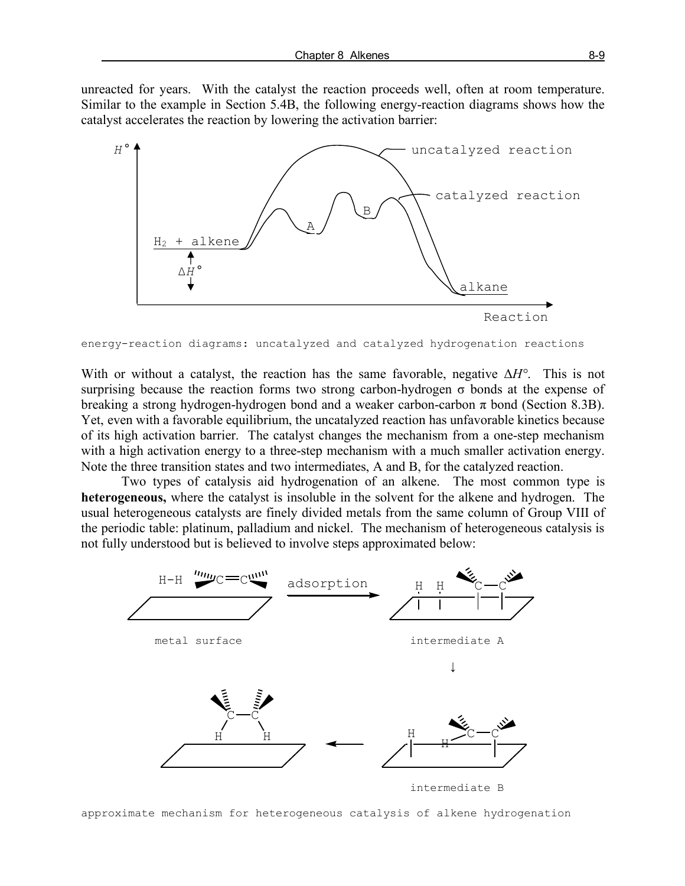unreacted for years. With the catalyst the reaction proceeds well, often at room temperature. Similar to the example in Section 5.4B, the following energy-reaction diagrams shows how the catalyst accelerates the reaction by lowering the activation barrier:



```
energy-reaction diagrams: uncatalyzed and catalyzed hydrogenation reactions
```
With or without a catalyst, the reaction has the same favorable, negative Δ*H°*. This is not surprising because the reaction forms two strong carbon-hydrogen  $\sigma$  bonds at the expense of breaking a strong hydrogen-hydrogen bond and a weaker carbon-carbon  $\pi$  bond (Section 8.3B). Yet, even with a favorable equilibrium, the uncatalyzed reaction has unfavorable kinetics because of its high activation barrier. The catalyst changes the mechanism from a one-step mechanism with a high activation energy to a three-step mechanism with a much smaller activation energy. Note the three transition states and two intermediates, A and B, for the catalyzed reaction.

Two types of catalysis aid hydrogenation of an alkene. The most common type is **heterogeneous,** where the catalyst is insoluble in the solvent for the alkene and hydrogen. The usual heterogeneous catalysts are finely divided metals from the same column of Group VIII of the periodic table: platinum, palladium and nickel. The mechanism of heterogeneous catalysis is not fully understood but is believed to involve steps approximated below:



approximate mechanism for heterogeneous catalysis of alkene hydrogenation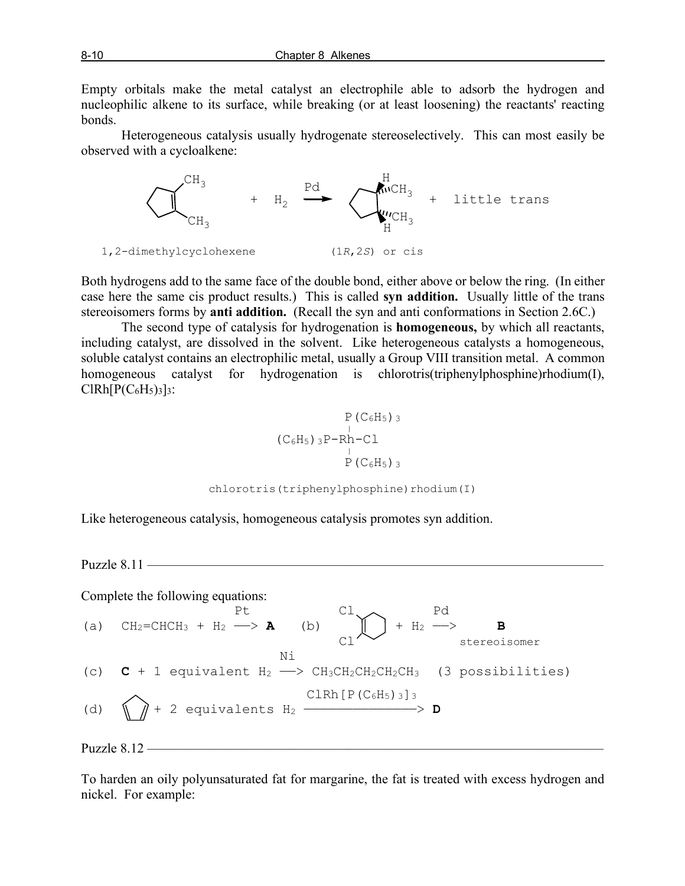Empty orbitals make the metal catalyst an electrophile able to adsorb the hydrogen and nucleophilic alkene to its surface, while breaking (or at least loosening) the reactants' reacting bonds.

Heterogeneous catalysis usually hydrogenate stereoselectively. This can most easily be observed with a cycloalkene:



Both hydrogens add to the same face of the double bond, either above or below the ring. (In either case here the same cis product results.) This is called **syn addition.** Usually little of the trans stereoisomers forms by **anti addition.** (Recall the syn and anti conformations in Section 2.6C.)

The second type of catalysis for hydrogenation is **homogeneous,** by which all reactants, including catalyst, are dissolved in the solvent. Like heterogeneous catalysts a homogeneous, soluble catalyst contains an electrophilic metal, usually a Group VIII transition metal. A common homogeneous catalyst for hydrogenation is chlorotris(triphenylphosphine)rhodium(I),  $CIRh[P(C<sub>6</sub>H<sub>5</sub>)<sub>3</sub>]$ <sub>3</sub>:

$$
\begin{array}{c}\n P (C_6H_5) \, 3 \\
 (C_6H_5) \, 3P-Rh-C1 \\
 \quad \frac{1}{P (C_6H_5) \, 3}\n \end{array}
$$

chlorotris(triphenylphosphine)rhodium(I)

Like heterogeneous catalysis, homogeneous catalysis promotes syn addition.

Puzzle 8.11 —

Complete the following equations:

| (a) $CH_2=CHCH_3 + H_2 \longrightarrow \mathbf{A}$                                   | (b) $CH_2 \longrightarrow H_2 \longrightarrow \mathbf{B}$ |
|--------------------------------------------------------------------------------------|-----------------------------------------------------------|
| (c) $CA + 1$ equivalent $H_2 \longrightarrow CH_3CH_2CH_2CH_2CH_3$ (3 possibilities) |                                                           |
| (d) $CP + 2$ equivalent $H_2 \longrightarrow CH_3CH_2CH_2CH_3$                       | (d) $CP + 2$ equivalent $H_2 \longrightarrow \mathbf{D}$  |

\nPuzzle 8.12

To harden an oily polyunsaturated fat for margarine, the fat is treated with excess hydrogen and nickel. For example: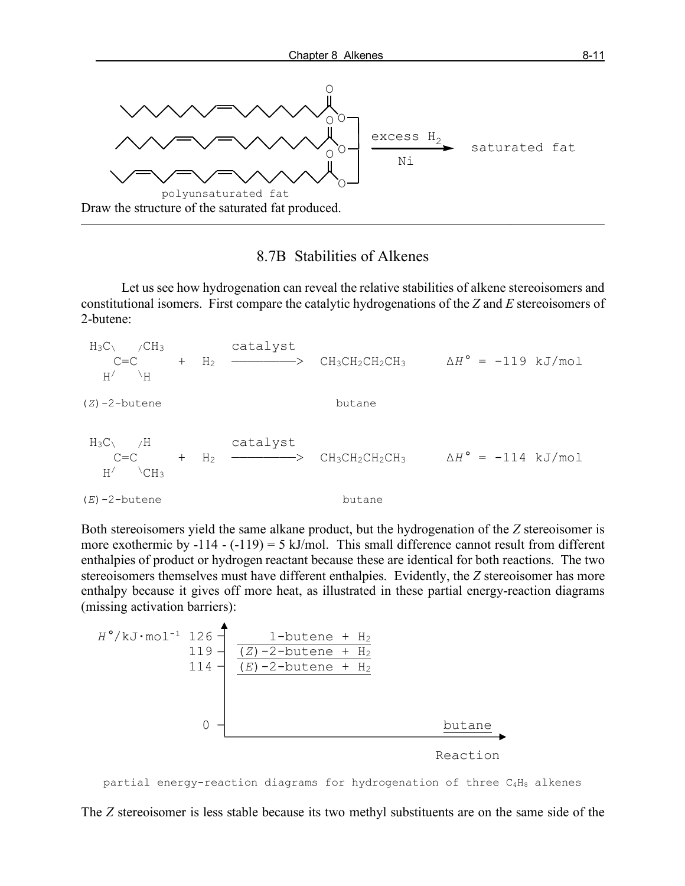

### 8.7B Stabilities of Alkenes

Let us see how hydrogenation can reveal the relative stabilities of alkene stereoisomers and constitutional isomers. First compare the catalytic hydrogenations of the *Z* and *E* stereoisomers of 2-butene:

 $H_3C \leftarrow$  /CH<sub>3</sub> catalyst C=C + H2 ————————> CH3CH2CH2CH3 Δ*H°* = -119 kJ/mol  $H/$   $\lambda$   $\lambda$ (*Z*)-2-butene butane  $H_3C$  /H catalyst C=C + H2 ————————> CH3CH2CH2CH3 Δ*H°* = -114 kJ/mol  $H/$   $\angle$ CH<sub>3</sub> (*E*)-2-butene butane

Both stereoisomers yield the same alkane product, but the hydrogenation of the *Z* stereoisomer is more exothermic by  $-114 - (-119) = 5$  kJ/mol. This small difference cannot result from different enthalpies of product or hydrogen reactant because these are identical for both reactions. The two stereoisomers themselves must have different enthalpies. Evidently, the *Z* stereoisomer has more enthalpy because it gives off more heat, as illustrated in these partial energy-reaction diagrams (missing activation barriers):



partial energy-reaction diagrams for hydrogenation of three C4H8 alkenes

The *Z* stereoisomer is less stable because its two methyl substituents are on the same side of the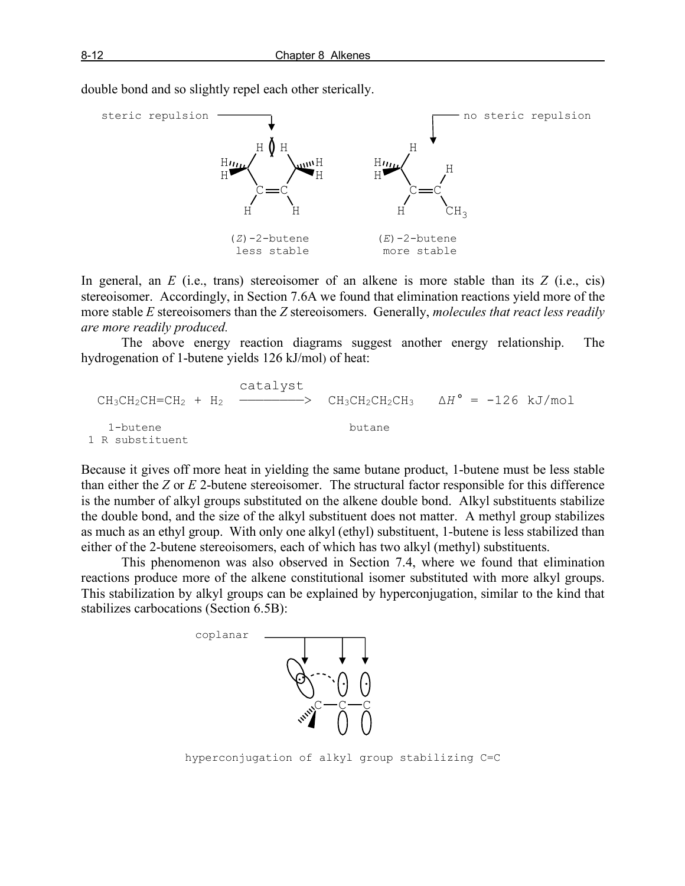

double bond and so slightly repel each other sterically.

In general, an *E* (i.e., trans) stereoisomer of an alkene is more stable than its *Z* (i.e., cis) stereoisomer. Accordingly, in Section 7.6A we found that elimination reactions yield more of the more stable *E* stereoisomers than the *Z* stereoisomers. Generally, *molecules that react less readily are more readily produced.*

The above energy reaction diagrams suggest another energy relationship. The hydrogenation of 1-butene yields 126 kJ/mol) of heat:

| $CH_3CH_2CH=CH_2 + H_2$ | $CH_3CH_2CH_2CH_3$                                                  | $\Delta H^{\circ} = -126$ kJ/mol |
|-------------------------|---------------------------------------------------------------------|----------------------------------|
| 1-butene butane         | $1 \text{ R}$ substitute to the total number of times in the image. |                                  |

Because it gives off more heat in yielding the same butane product, 1-butene must be less stable than either the *Z* or *E* 2-butene stereoisomer. The structural factor responsible for this difference is the number of alkyl groups substituted on the alkene double bond. Alkyl substituents stabilize the double bond, and the size of the alkyl substituent does not matter. A methyl group stabilizes as much as an ethyl group. With only one alkyl (ethyl) substituent, 1-butene is less stabilized than either of the 2-butene stereoisomers, each of which has two alkyl (methyl) substituents.

This phenomenon was also observed in Section 7.4, where we found that elimination reactions produce more of the alkene constitutional isomer substituted with more alkyl groups. This stabilization by alkyl groups can be explained by hyperconjugation, similar to the kind that stabilizes carbocations (Section 6.5B):



hyperconjugation of alkyl group stabilizing C=C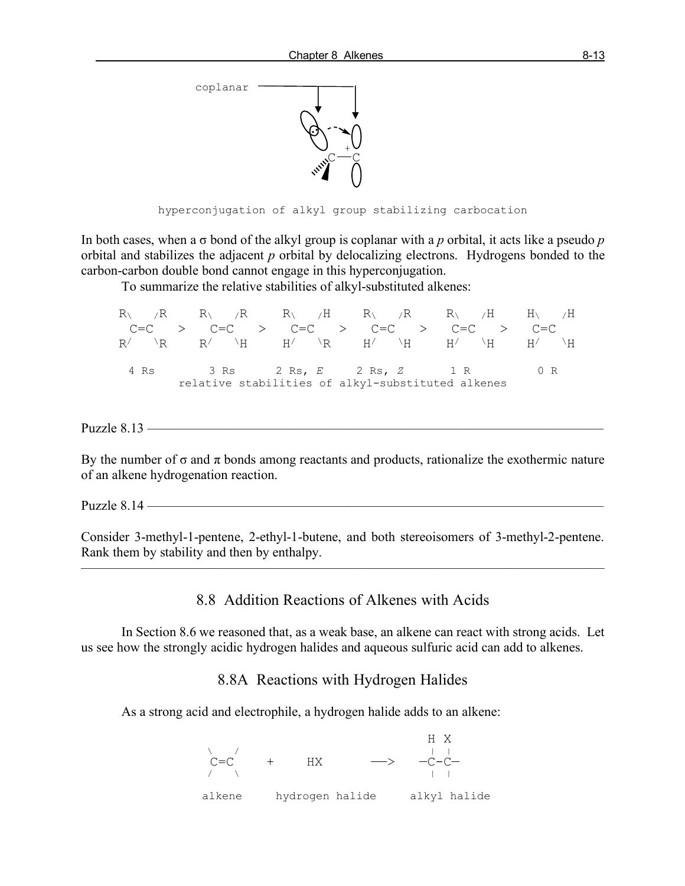

hyperconjugation of alkyl group stabilizing carbocation

In both cases, when a σ bond of the alkyl group is coplanar with a *p* orbital, it acts like a pseudo *p* orbital and stabilizes the adjacent *p* orbital by delocalizing electrons. Hydrogens bonded to the carbon-carbon double bond cannot engage in this hyperconjugation.

To summarize the relative stabilities of alkyl-substituted alkenes:

|  |  |  |  | $R \setminus R$ $R \setminus R$ $R \setminus H$ $R \setminus R$ $R \setminus H$ $H \setminus H$                                                                    |  |  |
|--|--|--|--|--------------------------------------------------------------------------------------------------------------------------------------------------------------------|--|--|
|  |  |  |  | $C=C$ > $C=C$ > $C=C$ > $C=C$ > $C=C$ > $C=C$ > $C=C$                                                                                                              |  |  |
|  |  |  |  | $R/\quad \backslash R \qquad R/\quad \backslash H \qquad H/\quad \backslash R \qquad H/\quad \backslash H \qquad H/\quad \backslash H \qquad H/\quad \backslash H$ |  |  |
|  |  |  |  |                                                                                                                                                                    |  |  |
|  |  |  |  | 4 Rs 3 Rs 2 Rs, E 2 Rs, Z 1 R 0 R                                                                                                                                  |  |  |
|  |  |  |  | relative stabilities of alkyl-substituted alkenes                                                                                                                  |  |  |

Puzzle 8.13 ——————————————————————————————————

By the number of  $\sigma$  and  $\pi$  bonds among reactants and products, rationalize the exothermic nature of an alkene hydrogenation reaction.

Puzzle  $8.14$  —

Consider 3-methyl-1-pentene, 2-ethyl-1-butene, and both stereoisomers of 3-methyl-2-pentene. Rank them by stability and then by enthalpy.

———————————————————————————————————————

### 8.8 Addition Reactions of Alkenes with Acids

In Section 8.6 we reasoned that, as a weak base, an alkene can react with strong acids. Let us see how the strongly acidic hydrogen halides and aqueous sulfuric acid can add to alkenes.

### 8.8A Reactions with Hydrogen Halides

As a strong acid and electrophile, a hydrogen halide adds to an alkene:

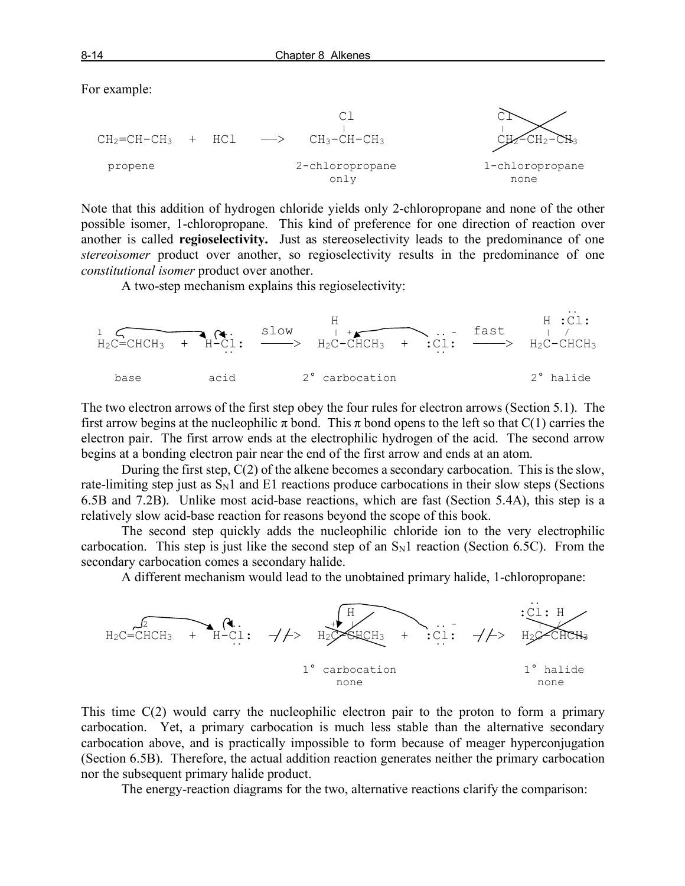For example:



Note that this addition of hydrogen chloride yields only 2-chloropropane and none of the other possible isomer, 1-chloropropane. This kind of preference for one direction of reaction over another is called **regioselectivity.** Just as stereoselectivity leads to the predominance of one *stereoisomer* product over another, so regioselectivity results in the predominance of one *constitutional isomer* product over another.

A two-step mechanism explains this regioselectivity:

 .. H H :Cl: 1 .. slow | + .. - fast | / H2C=CHCH3 + H-Cl: ————> H2C-CHCH3 + :Cl: ————> H2C-CHCH3 .. .. base acid 2° carbocation 2° halide

The two electron arrows of the first step obey the four rules for electron arrows (Section 5.1). The first arrow begins at the nucleophilic  $\pi$  bond. This  $\pi$  bond opens to the left so that C(1) carries the electron pair. The first arrow ends at the electrophilic hydrogen of the acid. The second arrow begins at a bonding electron pair near the end of the first arrow and ends at an atom.

During the first step, C(2) of the alkene becomes a secondary carbocation. This is the slow, rate-limiting step just as  $S_N1$  and  $E1$  reactions produce carbocations in their slow steps (Sections 6.5B and 7.2B). Unlike most acid-base reactions, which are fast (Section 5.4A), this step is a relatively slow acid-base reaction for reasons beyond the scope of this book.

The second step quickly adds the nucleophilic chloride ion to the very electrophilic carbocation. This step is just like the second step of an  $S<sub>N</sub>1$  reaction (Section 6.5C). From the secondary carbocation comes a secondary halide.

A different mechanism would lead to the unobtained primary halide, 1-chloropropane:



This time C(2) would carry the nucleophilic electron pair to the proton to form a primary carbocation. Yet, a primary carbocation is much less stable than the alternative secondary carbocation above, and is practically impossible to form because of meager hyperconjugation (Section 6.5B). Therefore, the actual addition reaction generates neither the primary carbocation nor the subsequent primary halide product.

The energy-reaction diagrams for the two, alternative reactions clarify the comparison: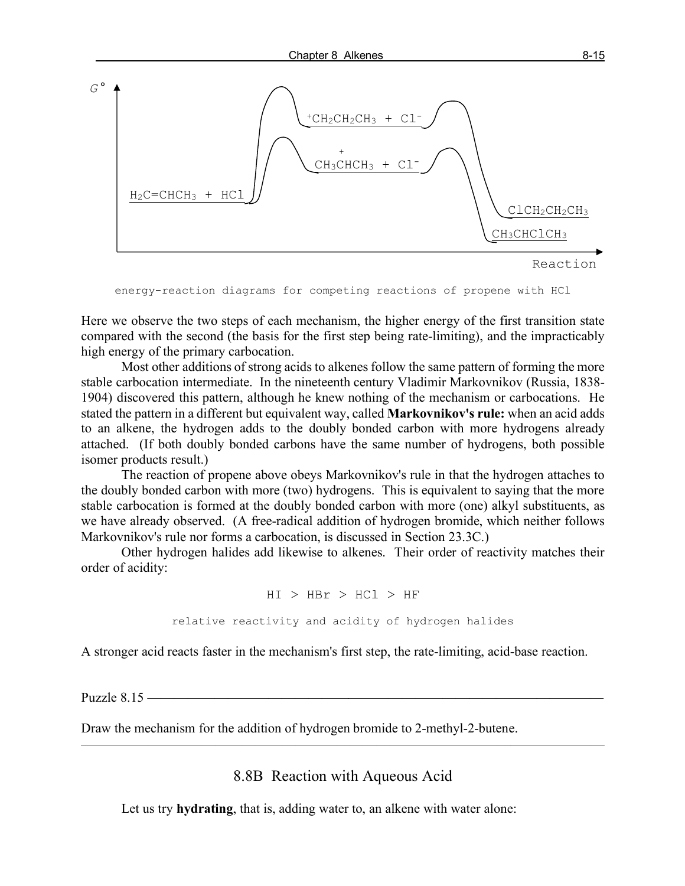



```
energy-reaction diagrams for competing reactions of propene with HCl
```
Here we observe the two steps of each mechanism, the higher energy of the first transition state compared with the second (the basis for the first step being rate-limiting), and the impracticably high energy of the primary carbocation.

Most other additions of strong acids to alkenes follow the same pattern of forming the more stable carbocation intermediate. In the nineteenth century Vladimir Markovnikov (Russia, 1838- 1904) discovered this pattern, although he knew nothing of the mechanism or carbocations. He stated the pattern in a different but equivalent way, called **Markovnikov's rule:** when an acid adds to an alkene, the hydrogen adds to the doubly bonded carbon with more hydrogens already attached. (If both doubly bonded carbons have the same number of hydrogens, both possible isomer products result.)

The reaction of propene above obeys Markovnikov's rule in that the hydrogen attaches to the doubly bonded carbon with more (two) hydrogens. This is equivalent to saying that the more stable carbocation is formed at the doubly bonded carbon with more (one) alkyl substituents, as we have already observed. (A free-radical addition of hydrogen bromide, which neither follows Markovnikov's rule nor forms a carbocation, is discussed in Section 23.3C.)

Other hydrogen halides add likewise to alkenes. Their order of reactivity matches their order of acidity:

$$
\begin{array}{lcl} \mathrm{H}\mathrm{I} &> \mathrm{H}\mathrm{Br} &> \mathrm{H}\mathrm{Cl} &> \mathrm{HF} \\ \mathrm{relative \ reactivity \ and \ acidity \ of \ hydrogen \ halides} \end{array}
$$

A stronger acid reacts faster in the mechanism's first step, the rate-limiting, acid-base reaction.

Puzzle  $8.15$  —

Draw the mechanism for the addition of hydrogen bromide to 2-methyl-2-butene.

8.8B Reaction with Aqueous Acid

———————————————————————————————————————

Let us try **hydrating**, that is, adding water to, an alkene with water alone: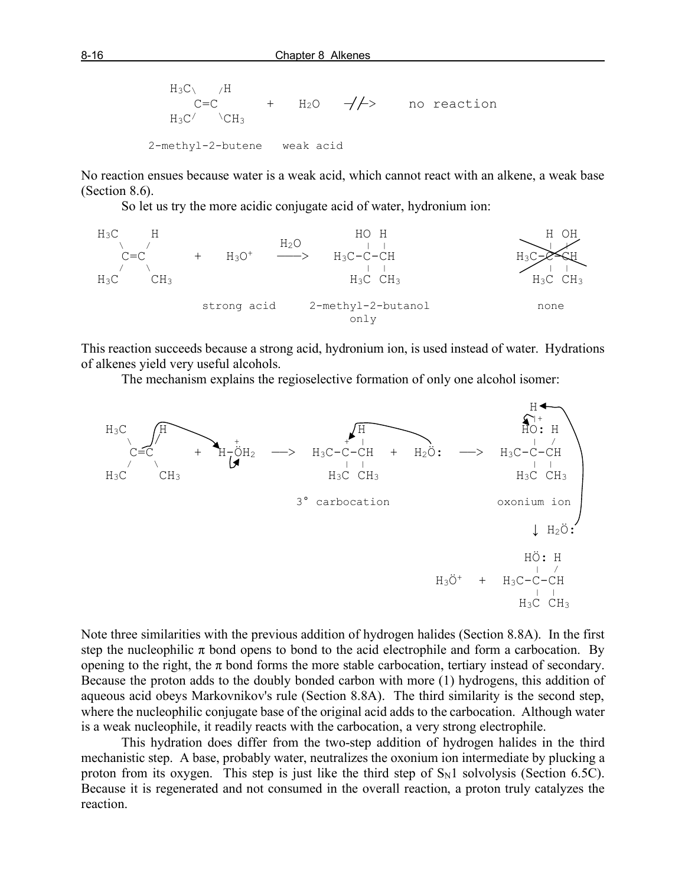$$
H_3C \sim /H
$$
  
\n $C=C$  +  $H_2O$   $\rightarrow$  / $\rightarrow$  no reaction  
\n $H_3C' \sim CH_3$   
\n $2-\text{methyl-2-butene}$  weak acid

No reaction ensues because water is a weak acid, which cannot react with an alkene, a weak base (Section 8.6).

So let us try the more acidic conjugate acid of water, hydronium ion:



This reaction succeeds because a strong acid, hydronium ion, is used instead of water. Hydrations of alkenes yield very useful alcohols.

The mechanism explains the regioselective formation of only one alcohol isomer:



Note three similarities with the previous addition of hydrogen halides (Section 8.8A). In the first step the nucleophilic  $\pi$  bond opens to bond to the acid electrophile and form a carbocation. By opening to the right, the  $\pi$  bond forms the more stable carbocation, tertiary instead of secondary. Because the proton adds to the doubly bonded carbon with more (1) hydrogens, this addition of aqueous acid obeys Markovnikov's rule (Section 8.8A). The third similarity is the second step, where the nucleophilic conjugate base of the original acid adds to the carbocation. Although water is a weak nucleophile, it readily reacts with the carbocation, a very strong electrophile.

This hydration does differ from the two-step addition of hydrogen halides in the third mechanistic step. A base, probably water, neutralizes the oxonium ion intermediate by plucking a proton from its oxygen. This step is just like the third step of  $S_N1$  solvolysis (Section 6.5C). Because it is regenerated and not consumed in the overall reaction, a proton truly catalyzes the reaction.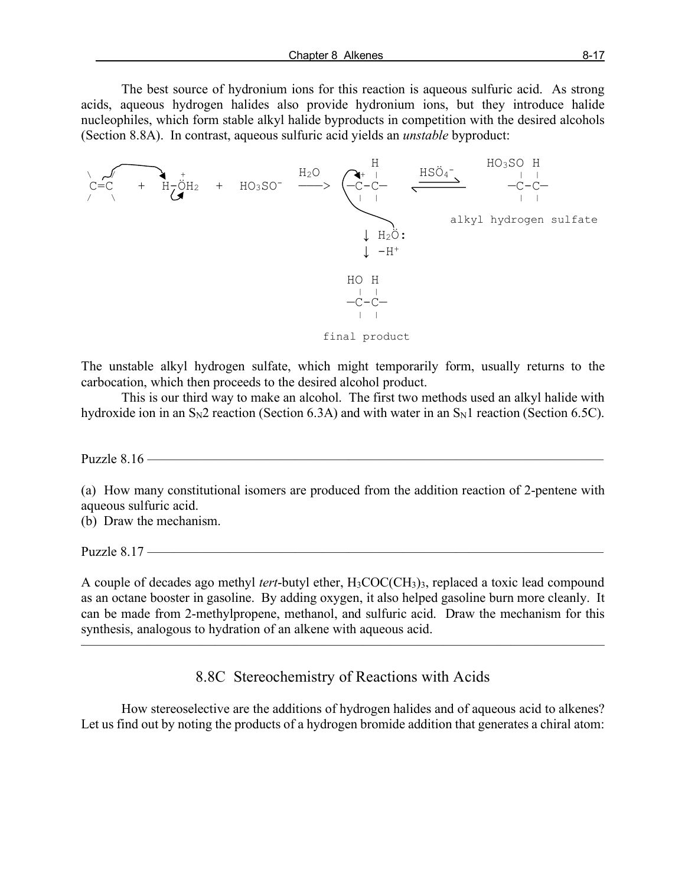The best source of hydronium ions for this reaction is aqueous sulfuric acid. As strong acids, aqueous hydrogen halides also provide hydronium ions, but they introduce halide nucleophiles, which form stable alkyl halide byproducts in competition with the desired alcohols (Section 8.8A). In contrast, aqueous sulfuric acid yields an *unstable* byproduct:



The unstable alkyl hydrogen sulfate, which might temporarily form, usually returns to the carbocation, which then proceeds to the desired alcohol product.

This is our third way to make an alcohol. The first two methods used an alkyl halide with hydroxide ion in an  $S_N2$  reaction (Section 6.3A) and with water in an  $S_N1$  reaction (Section 6.5C).

Puzzle  $8.16$  —

(a) How many constitutional isomers are produced from the addition reaction of 2-pentene with aqueous sulfuric acid.

(b) Draw the mechanism.

Puzzle  $8.17$  —

A couple of decades ago methyl *tert*-butyl ether, H3COC(CH3)3, replaced a toxic lead compound as an octane booster in gasoline. By adding oxygen, it also helped gasoline burn more cleanly. It can be made from 2-methylpropene, methanol, and sulfuric acid. Draw the mechanism for this synthesis, analogous to hydration of an alkene with aqueous acid.

8.8C Stereochemistry of Reactions with Acids

 $\overline{\phantom{a}}$  , and the contract of the contract of  $\overline{\phantom{a}}$ 

How stereoselective are the additions of hydrogen halides and of aqueous acid to alkenes? Let us find out by noting the products of a hydrogen bromide addition that generates a chiral atom: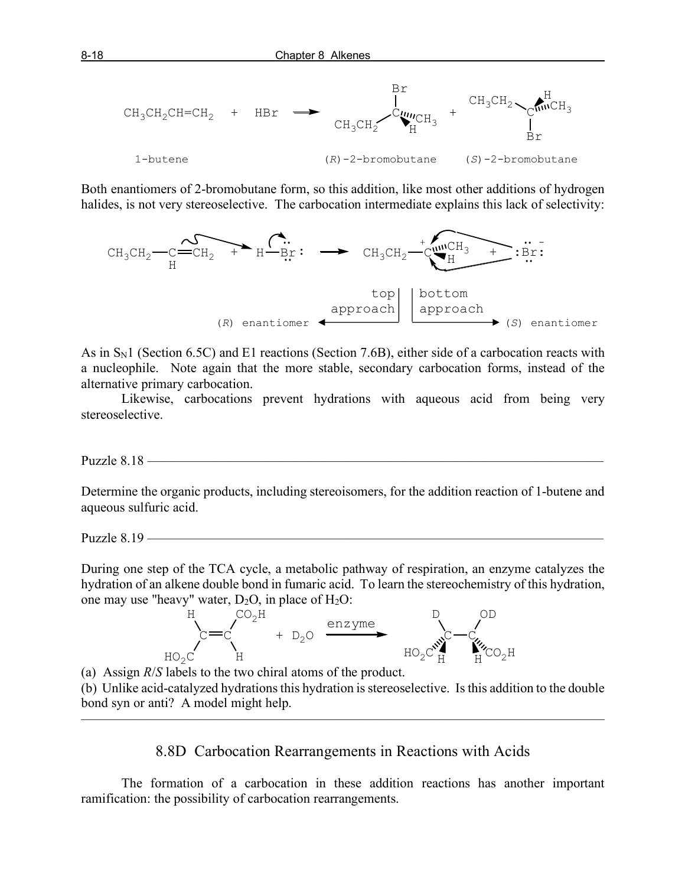

Both enantiomers of 2-bromobutane form, so this addition, like most other additions of hydrogen halides, is not very stereoselective. The carbocation intermediate explains this lack of selectivity:



As in  $S<sub>N</sub>1$  (Section 6.5C) and E1 reactions (Section 7.6B), either side of a carbocation reacts with a nucleophile. Note again that the more stable, secondary carbocation forms, instead of the alternative primary carbocation.

Likewise, carbocations prevent hydrations with aqueous acid from being very stereoselective.

Puzzle 8.18 ——

Determine the organic products, including stereoisomers, for the addition reaction of 1-butene and aqueous sulfuric acid.

Puzzle 8.19 ——————————————————————————————————

During one step of the TCA cycle, a metabolic pathway of respiration, an enzyme catalyzes the hydration of an alkene double bond in fumaric acid. To learn the stereochemistry of this hydration, one may use "heavy" water,  $D_2O$ , in place of  $H_2O$ :



(a) Assign *R*/*S* labels to the two chiral atoms of the product.

(b) Unlike acid-catalyzed hydrations this hydration is stereoselective. Is this addition to the double bond syn or anti? A model might help.

———————————————————————————————————————

8.8D Carbocation Rearrangements in Reactions with Acids

The formation of a carbocation in these addition reactions has another important ramification: the possibility of carbocation rearrangements.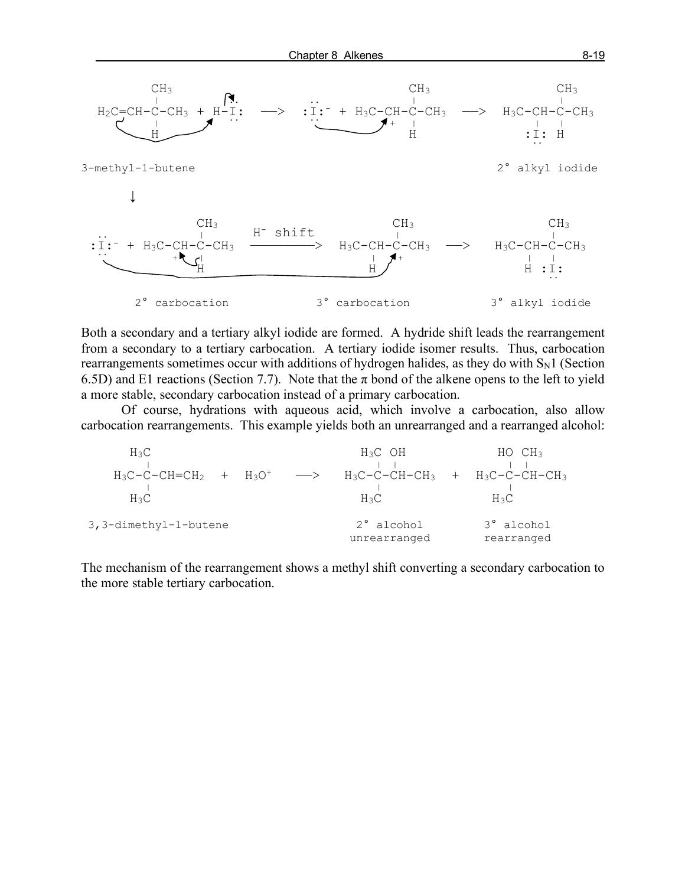

Both a secondary and a tertiary alkyl iodide are formed. A hydride shift leads the rearrangement from a secondary to a tertiary carbocation. A tertiary iodide isomer results. Thus, carbocation rearrangements sometimes occur with additions of hydrogen halides, as they do with  $S_N1$  (Section 6.5D) and E1 reactions (Section 7.7). Note that the  $\pi$  bond of the alkene opens to the left to yield a more stable, secondary carbocation instead of a primary carbocation.

Of course, hydrations with aqueous acid, which involve a carbocation, also allow carbocation rearrangements. This example yields both an unrearranged and a rearranged alcohol:

| $H_3C$                           | $H_3C$ OH                         | HOCH <sub>3</sub>        |
|----------------------------------|-----------------------------------|--------------------------|
| $+$ $H_3O^+$<br>$H_3C-C-CH=CH_2$ | H3C-C-CH-CH3<br>$\longrightarrow$ | $+$ $H_3C-C-CH-CH_3$     |
| $H_3C$                           | $H_3C$                            | $H_3C$                   |
| 3, 3-dimethyl-1-butene           | 2° alcohol<br>unrearranged        | 3° alcohol<br>rearranged |

The mechanism of the rearrangement shows a methyl shift converting a secondary carbocation to the more stable tertiary carbocation.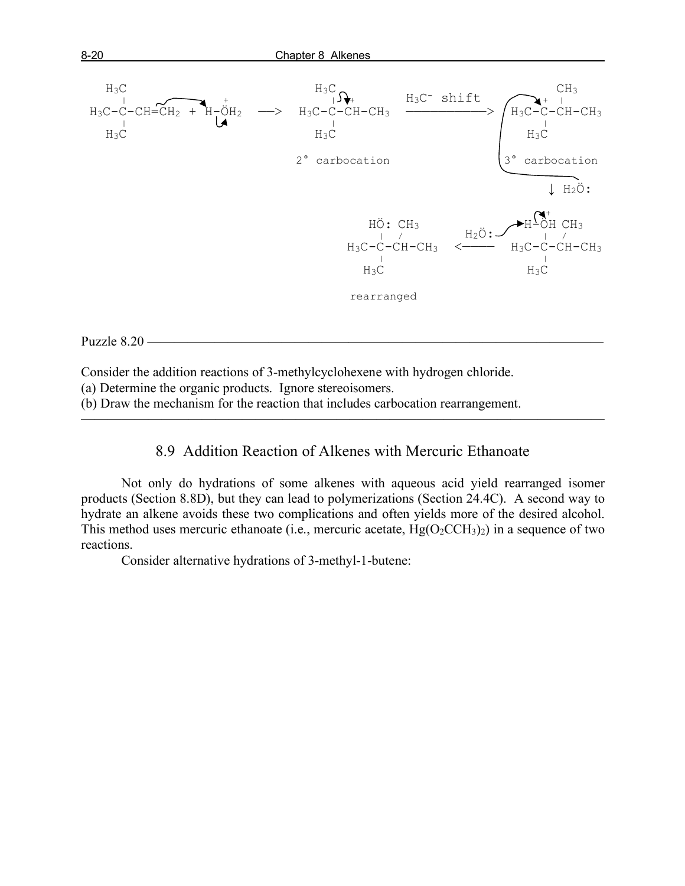

#### Puzzle 8.20 -

Consider the addition reactions of 3-methylcyclohexene with hydrogen chloride.

(a) Determine the organic products. Ignore stereoisomers.

(b) Draw the mechanism for the reaction that includes carbocation rearrangement.

## 8.9 Addition Reaction of Alkenes with Mercuric Ethanoate

———————————————————————————————————————

Not only do hydrations of some alkenes with aqueous acid yield rearranged isomer products (Section 8.8D), but they can lead to polymerizations (Section 24.4C). A second way to hydrate an alkene avoids these two complications and often yields more of the desired alcohol. This method uses mercuric ethanoate (i.e., mercuric acetate,  $Hg(O_2CCH_3)_2$ ) in a sequence of two reactions.

Consider alternative hydrations of 3-methyl-1-butene: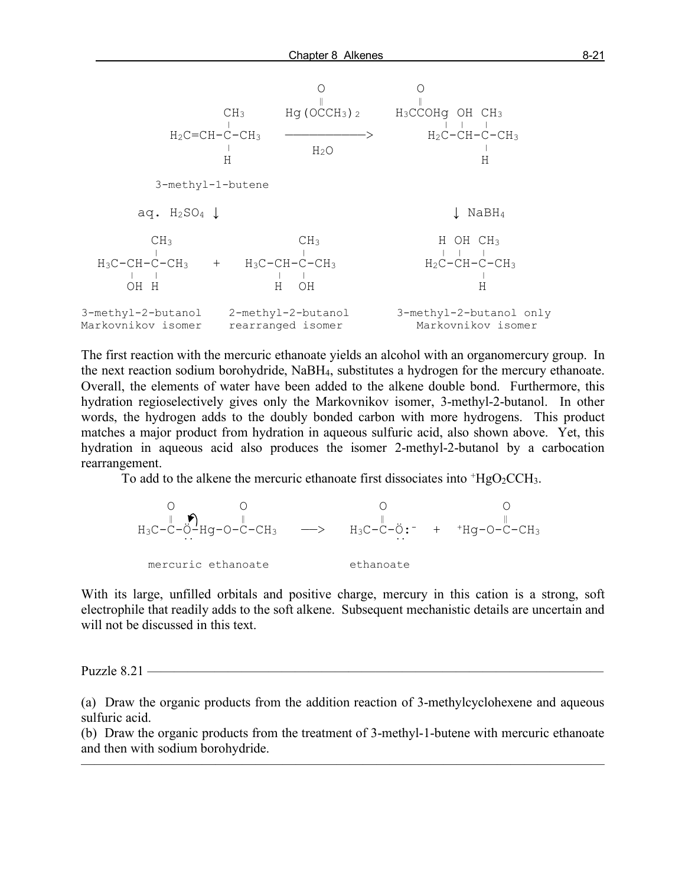

The first reaction with the mercuric ethanoate yields an alcohol with an organomercury group. In the next reaction sodium borohydride, NaBH4, substitutes a hydrogen for the mercury ethanoate. Overall, the elements of water have been added to the alkene double bond. Furthermore, this hydration regioselectively gives only the Markovnikov isomer, 3-methyl-2-butanol. In other words, the hydrogen adds to the doubly bonded carbon with more hydrogens. This product matches a major product from hydration in aqueous sulfuric acid, also shown above. Yet, this hydration in aqueous acid also produces the isomer 2-methyl-2-butanol by a carbocation rearrangement.

To add to the alkene the mercuric ethanoate first dissociates into  $HgO_2CCH_3$ .



With its large, unfilled orbitals and positive charge, mercury in this cation is a strong, soft electrophile that readily adds to the soft alkene. Subsequent mechanistic details are uncertain and will not be discussed in this text.

Puzzle 8.21 –

(a) Draw the organic products from the addition reaction of 3-methylcyclohexene and aqueous sulfuric acid.

(b) Draw the organic products from the treatment of 3-methyl-1-butene with mercuric ethanoate and then with sodium borohydride.

———————————————————————————————————————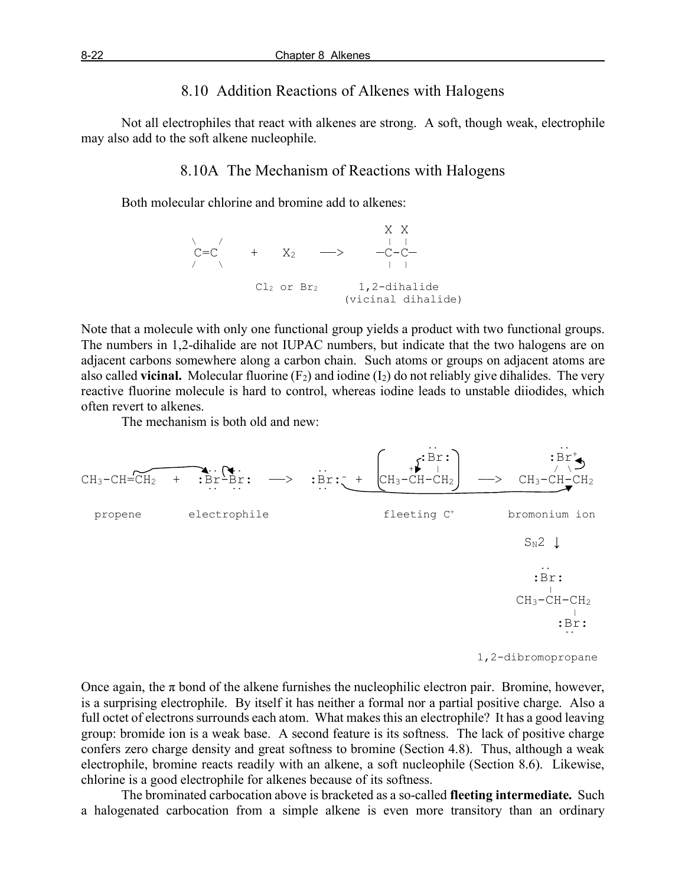## 8.10 Addition Reactions of Alkenes with Halogens

Not all electrophiles that react with alkenes are strong. A soft, though weak, electrophile may also add to the soft alkene nucleophile.

#### 8.10A The Mechanism of Reactions with Halogens

Both molecular chlorine and bromine add to alkenes:



Note that a molecule with only one functional group yields a product with two functional groups. The numbers in 1,2-dihalide are not IUPAC numbers, but indicate that the two halogens are on adjacent carbons somewhere along a carbon chain. Such atoms or groups on adjacent atoms are also called **vicinal.** Molecular fluorine  $(F_2)$  and iodine  $(I_2)$  do not reliably give dihalides. The very reactive fluorine molecule is hard to control, whereas iodine leads to unstable diiodides, which often revert to alkenes.

The mechanism is both old and new:



1,2-dibromopropane

Once again, the  $\pi$  bond of the alkene furnishes the nucleophilic electron pair. Bromine, however, is a surprising electrophile. By itself it has neither a formal nor a partial positive charge. Also a full octet of electrons surrounds each atom. What makes this an electrophile? It has a good leaving group: bromide ion is a weak base. A second feature is its softness. The lack of positive charge confers zero charge density and great softness to bromine (Section 4.8). Thus, although a weak electrophile, bromine reacts readily with an alkene, a soft nucleophile (Section 8.6). Likewise, chlorine is a good electrophile for alkenes because of its softness.

The brominated carbocation above is bracketed as a so-called **fleeting intermediate.** Such a halogenated carbocation from a simple alkene is even more transitory than an ordinary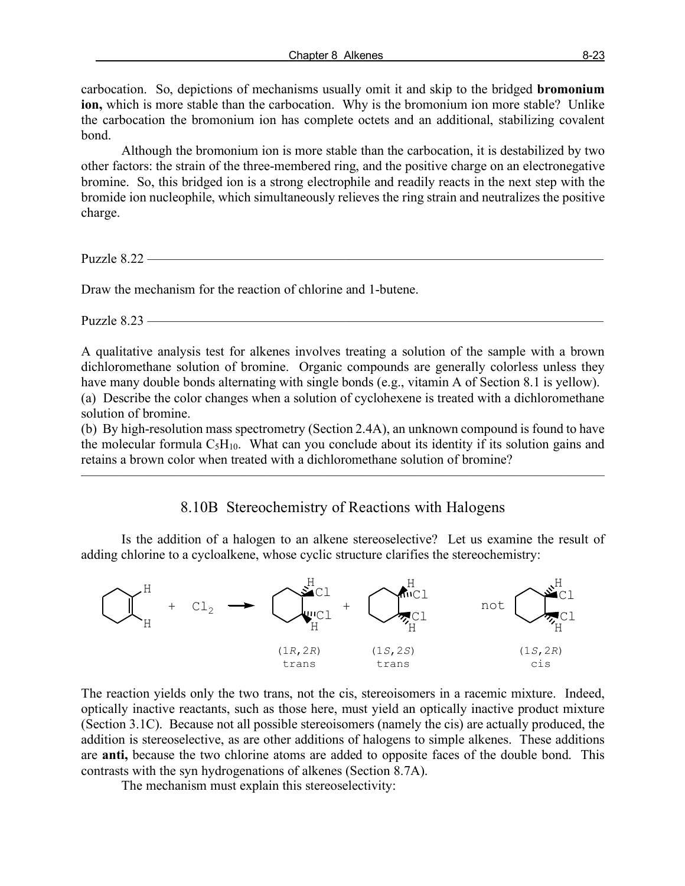carbocation. So, depictions of mechanisms usually omit it and skip to the bridged **bromonium ion,** which is more stable than the carbocation. Why is the bromonium ion more stable? Unlike the carbocation the bromonium ion has complete octets and an additional, stabilizing covalent bond.

Although the bromonium ion is more stable than the carbocation, it is destabilized by two other factors: the strain of the three-membered ring, and the positive charge on an electronegative bromine. So, this bridged ion is a strong electrophile and readily reacts in the next step with the bromide ion nucleophile, which simultaneously relieves the ring strain and neutralizes the positive charge.

Puzzle  $8.22$  –

Draw the mechanism for the reaction of chlorine and 1-butene.

Puzzle  $8.23$  —

A qualitative analysis test for alkenes involves treating a solution of the sample with a brown dichloromethane solution of bromine. Organic compounds are generally colorless unless they have many double bonds alternating with single bonds (e.g., vitamin A of Section 8.1 is yellow). (a) Describe the color changes when a solution of cyclohexene is treated with a dichloromethane solution of bromine.

(b) By high-resolution mass spectrometry (Section 2.4A), an unknown compound is found to have the molecular formula  $C_5H_{10}$ . What can you conclude about its identity if its solution gains and retains a brown color when treated with a dichloromethane solution of bromine?

 $\overline{\phantom{a}}$  , and the contract of the contract of  $\overline{\phantom{a}}$ 

## 8.10B Stereochemistry of Reactions with Halogens

Is the addition of a halogen to an alkene stereoselective? Let us examine the result of adding chlorine to a cycloalkene, whose cyclic structure clarifies the stereochemistry:



The reaction yields only the two trans, not the cis, stereoisomers in a racemic mixture. Indeed, optically inactive reactants, such as those here, must yield an optically inactive product mixture (Section 3.1C). Because not all possible stereoisomers (namely the cis) are actually produced, the addition is stereoselective, as are other additions of halogens to simple alkenes. These additions are **anti,** because the two chlorine atoms are added to opposite faces of the double bond. This contrasts with the syn hydrogenations of alkenes (Section 8.7A).

The mechanism must explain this stereoselectivity: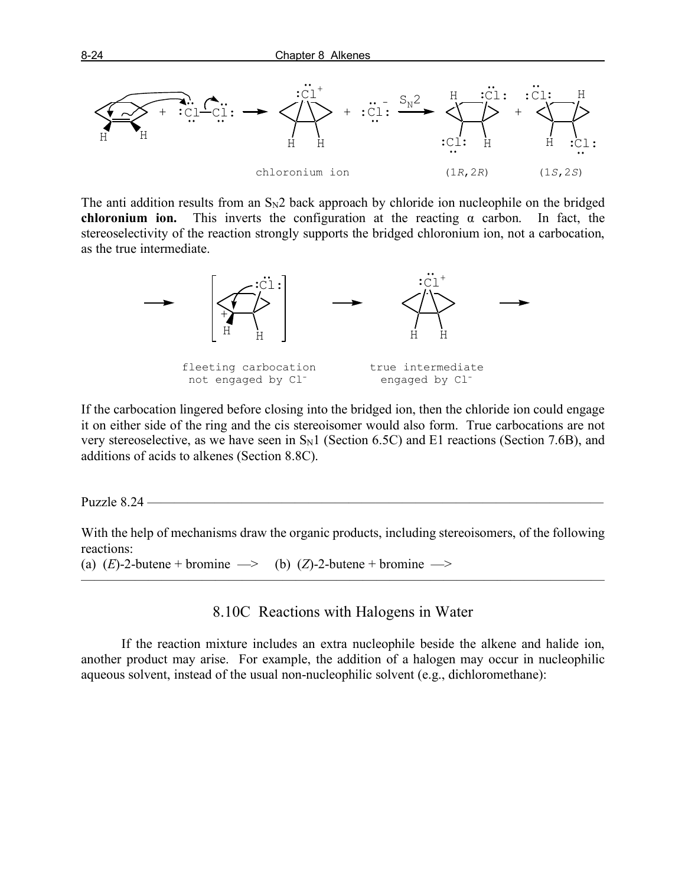

The anti addition results from an  $S_N2$  back approach by chloride ion nucleophile on the bridged **chloronium ion.** This inverts the configuration at the reacting  $\alpha$  carbon. In fact, the stereoselectivity of the reaction strongly supports the bridged chloronium ion, not a carbocation, as the true intermediate.



If the carbocation lingered before closing into the bridged ion, then the chloride ion could engage it on either side of the ring and the cis stereoisomer would also form. True carbocations are not very stereoselective, as we have seen in  $S_N1$  (Section 6.5C) and E1 reactions (Section 7.6B), and additions of acids to alkenes (Section 8.8C).

Puzzle 8.24 ——————————————————————————————————

With the help of mechanisms draw the organic products, including stereoisomers, of the following reactions:

(a)  $(E)$ -2-butene + bromine  $\implies$  (b)  $(Z)$ -2-butene + bromine  $\implies$ 

8.10C Reactions with Halogens in Water

 $\overline{\phantom{a}}$  , and the contract of the contract of  $\overline{\phantom{a}}$ 

If the reaction mixture includes an extra nucleophile beside the alkene and halide ion, another product may arise. For example, the addition of a halogen may occur in nucleophilic aqueous solvent, instead of the usual non-nucleophilic solvent (e.g., dichloromethane):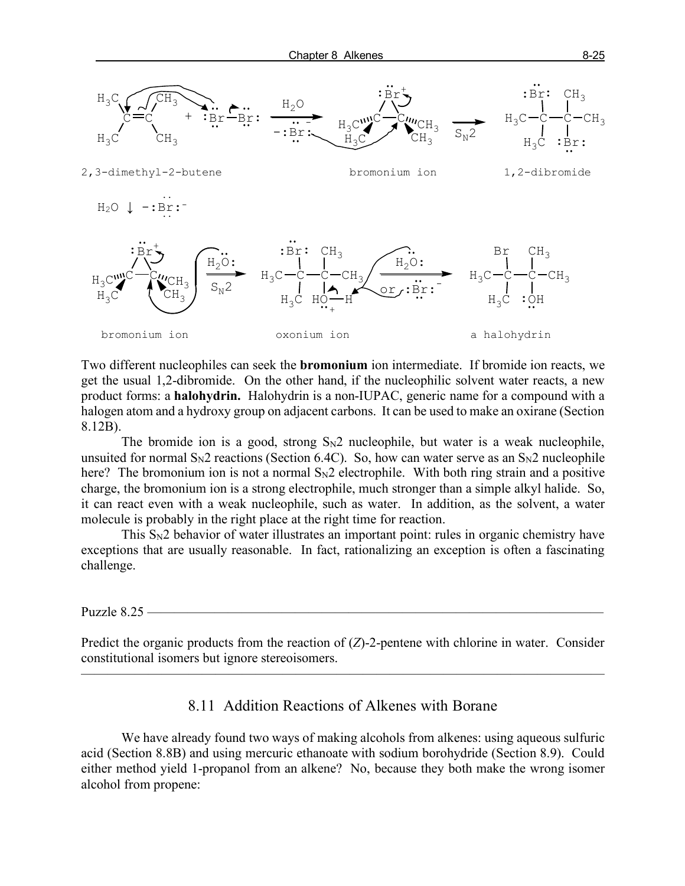

Two different nucleophiles can seek the **bromonium** ion intermediate. If bromide ion reacts, we get the usual 1,2-dibromide. On the other hand, if the nucleophilic solvent water reacts, a new product forms: a **halohydrin.** Halohydrin is a non-IUPAC, generic name for a compound with a halogen atom and a hydroxy group on adjacent carbons. It can be used to make an oxirane (Section 8.12B).

The bromide ion is a good, strong  $S_N2$  nucleophile, but water is a weak nucleophile, unsuited for normal  $S_N2$  reactions (Section 6.4C). So, how can water serve as an  $S_N2$  nucleophile here? The bromonium ion is not a normal  $S_N2$  electrophile. With both ring strain and a positive charge, the bromonium ion is a strong electrophile, much stronger than a simple alkyl halide. So, it can react even with a weak nucleophile, such as water. In addition, as the solvent, a water molecule is probably in the right place at the right time for reaction.

This S<sub>N</sub>2 behavior of water illustrates an important point: rules in organic chemistry have exceptions that are usually reasonable. In fact, rationalizing an exception is often a fascinating challenge.

Puzzle 8.25 -

Predict the organic products from the reaction of (*Z*)-2-pentene with chlorine in water. Consider constitutional isomers but ignore stereoisomers.

———————————————————————————————————————

#### 8.11 Addition Reactions of Alkenes with Borane

We have already found two ways of making alcohols from alkenes: using aqueous sulfuric acid (Section 8.8B) and using mercuric ethanoate with sodium borohydride (Section 8.9). Could either method yield 1-propanol from an alkene? No, because they both make the wrong isomer alcohol from propene: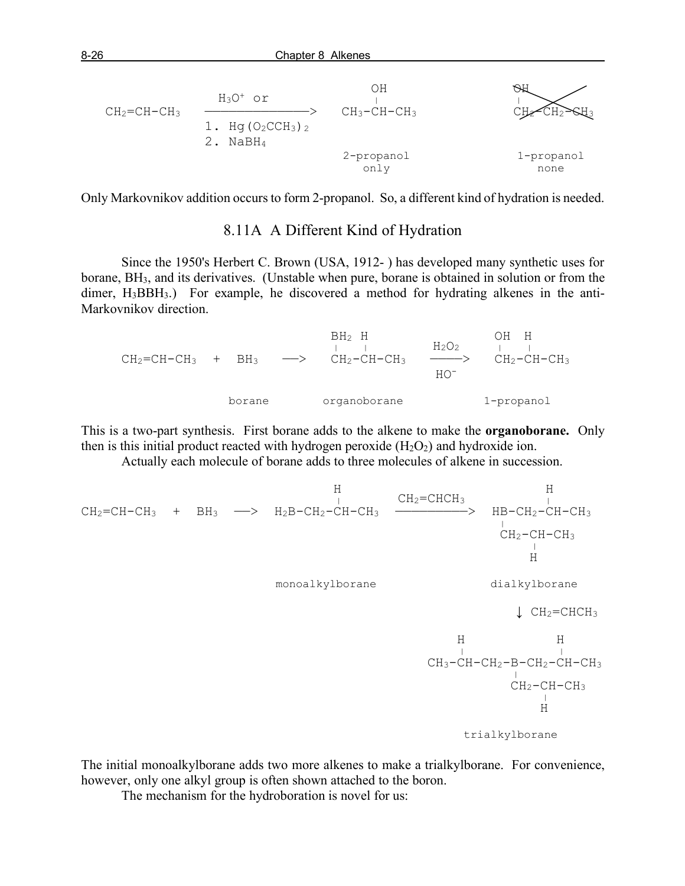| $CH2=CH-CH3$ | $H_3O^+$ or<br>1. Hq $(O_2CCH_3)$ 2<br>NaBH <sub>4</sub> | ΟH<br>$CH_3-CH-CH_3$ | ≥⊝⊞3               |
|--------------|----------------------------------------------------------|----------------------|--------------------|
|              |                                                          | 2-propanol<br>only   | 1-propanol<br>none |

Only Markovnikov addition occurs to form 2-propanol. So, a different kind of hydration is needed.

#### 8.11A A Different Kind of Hydration

Since the 1950's Herbert C. Brown (USA, 1912- ) has developed many synthetic uses for borane, BH3, and its derivatives. (Unstable when pure, borane is obtained in solution or from the dimer, H<sub>3</sub>BBH<sub>3</sub>.) For example, he discovered a method for hydrating alkenes in the anti-Markovnikov direction.

 $\begin{array}{ccccccc}\n\text{BH}_2 & \text{H} & & & \text{OH} & \text{H} \\
\parallel & \parallel & & & \text{H}_2\text{O}_2 & & \parallel & \parallel\n\end{array}$  $CH_2=CH-CH_3$  +  $BH_3$   $\longrightarrow$   $CH_2-CH-CH_3$   $\longrightarrow$   $CH_2-CH-CH_3$   $\longrightarrow$   $CH_2-CH-CH_3$  HO borane organoborane 1-propanol

This is a two-part synthesis. First borane adds to the alkene to make the **organoborane.** Only then is this initial product reacted with hydrogen peroxide  $(H_2O_2)$  and hydroxide ion.

Actually each molecule of borane adds to three molecules of alkene in succession.

 H H | CH2=CHCH3 | CH2=CH-CH3 + BH3 ——> H2B-CH2-CH-CH3 —————————> HB-CH2-CH-CH3 | CH2-CH-CH3 | H monoalkylborane dialkylborane ↓ CH2=CHCH3 H H | | CH3-CH-CH2-B-CH2-CH-CH3 | CH2-CH-CH3 | H trialkylborane

The initial monoalkylborane adds two more alkenes to make a trialkylborane. For convenience, however, only one alkyl group is often shown attached to the boron.

The mechanism for the hydroboration is novel for us: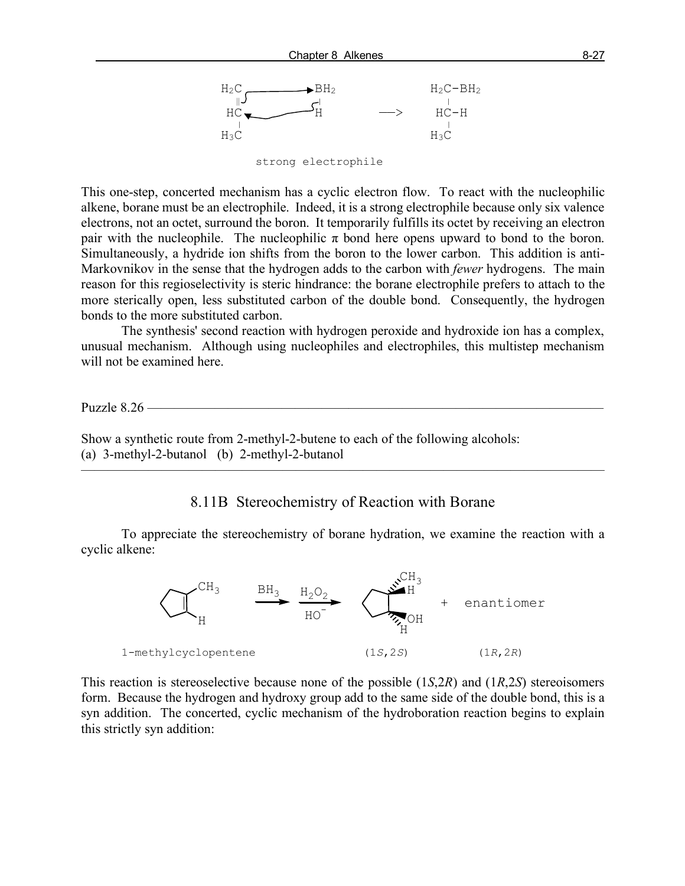

strong electrophile

This one-step, concerted mechanism has a cyclic electron flow. To react with the nucleophilic alkene, borane must be an electrophile. Indeed, it is a strong electrophile because only six valence electrons, not an octet, surround the boron. It temporarily fulfills its octet by receiving an electron pair with the nucleophile. The nucleophilic  $\pi$  bond here opens upward to bond to the boron. Simultaneously, a hydride ion shifts from the boron to the lower carbon. This addition is anti-Markovnikov in the sense that the hydrogen adds to the carbon with *fewer* hydrogens. The main reason for this regioselectivity is steric hindrance: the borane electrophile prefers to attach to the more sterically open, less substituted carbon of the double bond. Consequently, the hydrogen bonds to the more substituted carbon.

The synthesis' second reaction with hydrogen peroxide and hydroxide ion has a complex, unusual mechanism. Although using nucleophiles and electrophiles, this multistep mechanism will not be examined here.

Puzzle 8.26 –

Show a synthetic route from 2-methyl-2-butene to each of the following alcohols: (a) 3-methyl-2-butanol (b) 2-methyl-2-butanol

#### 8.11B Stereochemistry of Reaction with Borane

———————————————————————————————————————

To appreciate the stereochemistry of borane hydration, we examine the reaction with a cyclic alkene:



This reaction is stereoselective because none of the possible (1*S*,2*R*) and (1*R*,2*S*) stereoisomers form. Because the hydrogen and hydroxy group add to the same side of the double bond, this is a syn addition. The concerted, cyclic mechanism of the hydroboration reaction begins to explain this strictly syn addition: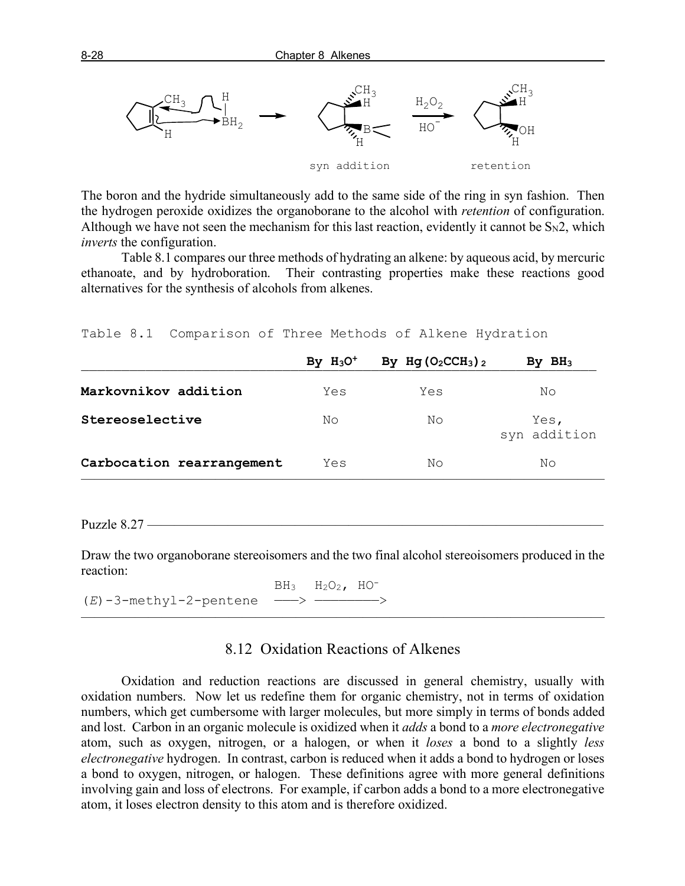

The boron and the hydride simultaneously add to the same side of the ring in syn fashion. Then the hydrogen peroxide oxidizes the organoborane to the alcohol with *retention* of configuration. Although we have not seen the mechanism for this last reaction, evidently it cannot be  $S_N2$ , which *inverts* the configuration.

Table 8.1 compares our three methods of hydrating an alkene: by aqueous acid, by mercuric ethanoate, and by hydroboration. Their contrasting properties make these reactions good alternatives for the synthesis of alcohols from alkenes.

|                           | By $H_3O^+$ | By Hg $(O_2CCH_3)$ 2 | By $BH3$             |
|---------------------------|-------------|----------------------|----------------------|
| Markovnikov addition      | Yes         | Yes                  | No                   |
| Stereoselective           | No          | No                   | Yes,<br>syn addition |
| Carbocation rearrangement | Yes         | No                   | No                   |
|                           |             |                      |                      |

Table 8.1 Comparison of Three Methods of Alkene Hydration

Puzzle 8.27 -

Draw the two organoborane stereoisomers and the two final alcohol stereoisomers produced in the reaction:

 $BH<sub>3</sub>$   $H<sub>2</sub>O<sub>2</sub>$ ,  $HO<sup>-</sup>$ (*E*)-3-methyl-2-pentene

### 8.12 Oxidation Reactions of Alkenes

 $\overline{\phantom{a}}$  , and the contract of the contract of  $\overline{\phantom{a}}$ 

Oxidation and reduction reactions are discussed in general chemistry, usually with oxidation numbers. Now let us redefine them for organic chemistry, not in terms of oxidation numbers, which get cumbersome with larger molecules, but more simply in terms of bonds added and lost. Carbon in an organic molecule is oxidized when it *adds* a bond to a *more electronegative* atom, such as oxygen, nitrogen, or a halogen, or when it *loses* a bond to a slightly *less electronegative* hydrogen. In contrast, carbon is reduced when it adds a bond to hydrogen or loses a bond to oxygen, nitrogen, or halogen. These definitions agree with more general definitions involving gain and loss of electrons. For example, if carbon adds a bond to a more electronegative atom, it loses electron density to this atom and is therefore oxidized.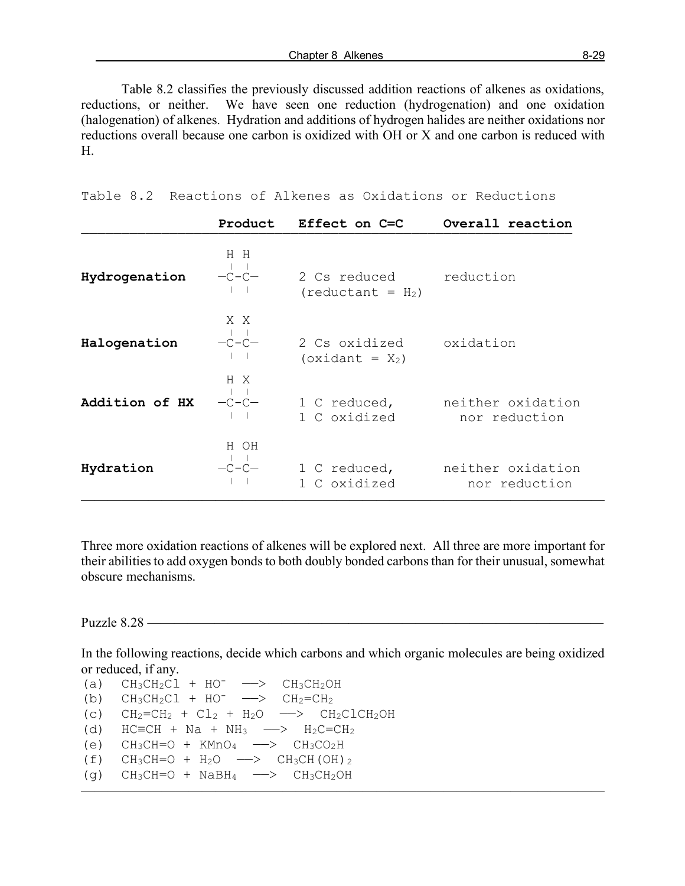Table 8.2 classifies the previously discussed addition reactions of alkenes as oxidations, reductions, or neither. We have seen one reduction (hydrogenation) and one oxidation (halogenation) of alkenes. Hydration and additions of hydrogen halides are neither oxidations nor reductions overall because one carbon is oxidized with OH or X and one carbon is reduced with H.

Table 8.2 Reactions of Alkenes as Oxidations or Reductions

| Product                                             | Effect on C=C                              | Overall reaction                   |
|-----------------------------------------------------|--------------------------------------------|------------------------------------|
| H H<br>$-C-C-$                                      | 2 Cs reduced<br>$(\text{reduction} = H_2)$ | reduction                          |
| X X<br>$-c-c-$                                      | 2 Cs oxidized<br>$(xidant = X_2)$          | oxidation                          |
| H X<br>$-\mathsf{C}\,\text{-}\mathsf{C}\,\text{--}$ | 1 C reduced,<br>1 C oxidized               | neither oxidation<br>nor reduction |
| H OH<br>$-C-C-$                                     | 1 C reduced,<br>1 C oxidized               | neither oxidation<br>nor reduction |
|                                                     |                                            |                                    |

Three more oxidation reactions of alkenes will be explored next. All three are more important for their abilities to add oxygen bonds to both doubly bonded carbons than for their unusual, somewhat obscure mechanisms.

Puzzle 8.28 —

In the following reactions, decide which carbons and which organic molecules are being oxidized or reduced, if any.

———————————————————————————————————————

(a)  $CH_3CH_2Cl + HO^-$  -->  $CH_3CH_2OH$ (b)  $CH_3CH_2Cl + HO^- \longrightarrow CH_2=CH_2$ (c)  $CH_2=CH_2 + CL_2 + H_2O \longrightarrow CH_2CLCH_2OH$ (d)  $HC=CH + Na + NH_3 \longrightarrow H_2C=CH_2$ (e)  $CH_3CH=O + KMnO_4 \longrightarrow CH_3CO_2H$ (f)  $CH_3CH=O + H_2O \longrightarrow CH_3CH(OH)_2$  $(q)$  CH<sub>3</sub>CH=O + NaBH<sub>4</sub> -> CH<sub>3</sub>CH<sub>2</sub>OH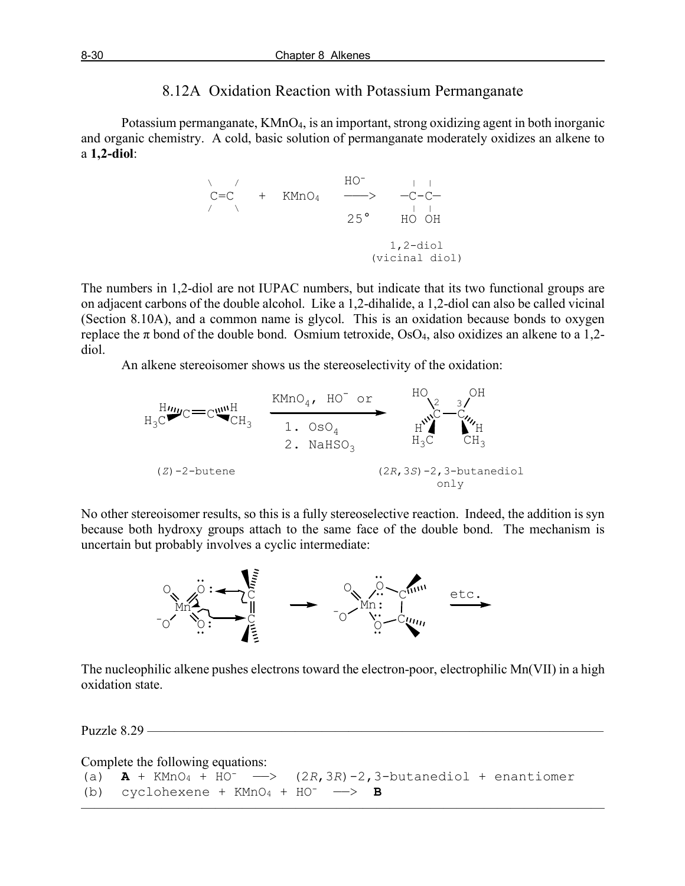## 8.12A Oxidation Reaction with Potassium Permanganate

Potassium permanganate, KMnO<sub>4</sub>, is an important, strong oxidizing agent in both inorganic and organic chemistry. A cold, basic solution of permanganate moderately oxidizes an alkene to a **1,2-diol**:

$$
\begin{array}{cccc}\n & \nearrow & & \text{HO}^- & & \downarrow \\
C=C & + & \text{KMDQ}_4 & \xrightarrow{\text{HO}^-} & -C-C\\
 & & 25^{\circ} & \text{HO} & \text{OH} \\
 & & & & 1,2\text{-diol} \\
 & & & & & \text{(vicinal diol)}\n\end{array}
$$

The numbers in 1,2-diol are not IUPAC numbers, but indicate that its two functional groups are on adjacent carbons of the double alcohol. Like a 1,2-dihalide, a 1,2-diol can also be called vicinal (Section 8.10A), and a common name is glycol. This is an oxidation because bonds to oxygen replace the  $\pi$  bond of the double bond. Osmium tetroxide, OsO<sub>4</sub>, also oxidizes an alkene to a 1,2diol.

An alkene stereoisomer shows us the stereoselectivity of the oxidation:



No other stereoisomer results, so this is a fully stereoselective reaction. Indeed, the addition is syn because both hydroxy groups attach to the same face of the double bond. The mechanism is uncertain but probably involves a cyclic intermediate:



The nucleophilic alkene pushes electrons toward the electron-poor, electrophilic Mn(VII) in a high oxidation state.

Puzzle  $8.29$  –

Complete the following equations:

```
(a) A + KMnO_4 + HO^- \longrightarrow (2R, 3R) - 2, 3-butanediol + enantiomer
(b) cyclohexene + KMnO_4 + HO^- \longrightarrow B
```
 $\overline{\phantom{a}}$  , and the contract of the contract of  $\overline{\phantom{a}}$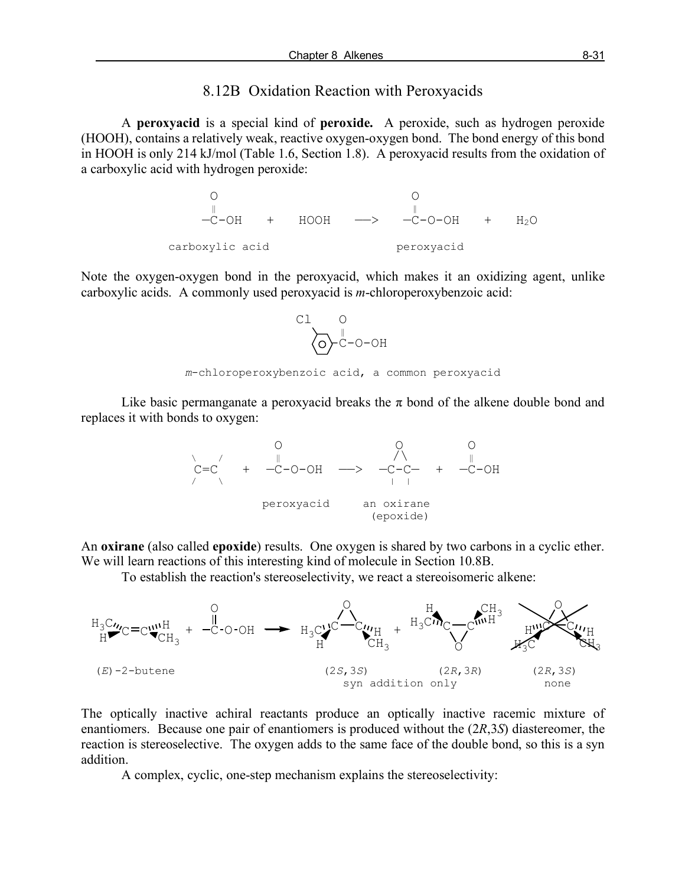#### 8.12B Oxidation Reaction with Peroxyacids

A **peroxyacid** is a special kind of **peroxide.** A peroxide, such as hydrogen peroxide (HOOH), contains a relatively weak, reactive oxygen-oxygen bond. The bond energy of this bond in HOOH is only 214 kJ/mol (Table 1.6, Section 1.8). A peroxyacid results from the oxidation of a carboxylic acid with hydrogen peroxide:



Note the oxygen-oxygen bond in the peroxyacid, which makes it an oxidizing agent, unlike carboxylic acids. A commonly used peroxyacid is *m*-chloroperoxybenzoic acid:



Like basic permanganate a peroxyacid breaks the  $\pi$  bond of the alkene double bond and replaces it with bonds to oxygen:



An **oxirane** (also called **epoxide**) results. One oxygen is shared by two carbons in a cyclic ether. We will learn reactions of this interesting kind of molecule in Section 10.8B.

To establish the reaction's stereoselectivity, we react a stereoisomeric alkene:



The optically inactive achiral reactants produce an optically inactive racemic mixture of enantiomers. Because one pair of enantiomers is produced without the (2*R*,3*S*) diastereomer, the reaction is stereoselective. The oxygen adds to the same face of the double bond, so this is a syn addition.

A complex, cyclic, one-step mechanism explains the stereoselectivity: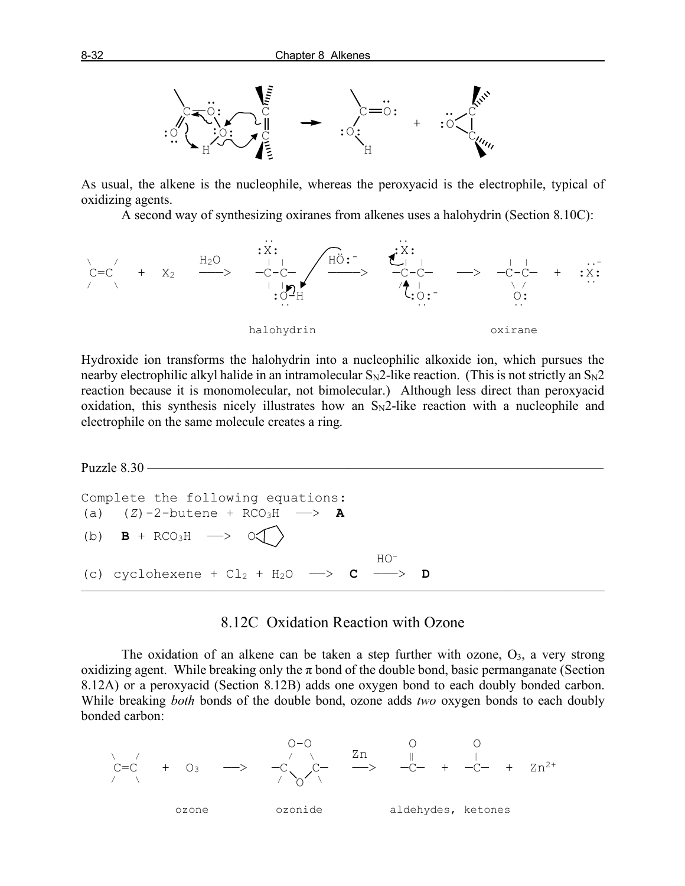

As usual, the alkene is the nucleophile, whereas the peroxyacid is the electrophile, typical of oxidizing agents.

A second way of synthesizing oxiranes from alkenes uses a halohydrin (Section 8.10C):



Hydroxide ion transforms the halohydrin into a nucleophilic alkoxide ion, which pursues the nearby electrophilic alkyl halide in an intramolecular  $S_N2$ -like reaction. (This is not strictly an  $S_N2$ reaction because it is monomolecular, not bimolecular.) Although less direct than peroxyacid oxidation, this synthesis nicely illustrates how an  $S_N2$ -like reaction with a nucleophile and electrophile on the same molecule creates a ring.

```
Puzzle 8.30 —
Complete the following equations:
(a) (Z)-2-butene + RCO<sub>3</sub>H --> A
(b) \mathbf{B} + \text{RCO}_3\text{H} \longrightarrow \text{O}\left(\right) HO-
(c) cyclohexene + Cl_2 + H_2O \longrightarrow C \longrightarrow D
\overline{\phantom{a}} , and the contract of the contract of \overline{\phantom{a}}
```
#### 8.12C Oxidation Reaction with Ozone

The oxidation of an alkene can be taken a step further with ozone,  $O_3$ , a very strong oxidizing agent. While breaking only the  $\pi$  bond of the double bond, basic permanganate (Section 8.12A) or a peroxyacid (Section 8.12B) adds one oxygen bond to each doubly bonded carbon. While breaking *both* bonds of the double bond, ozone adds *two* oxygen bonds to each doubly bonded carbon:

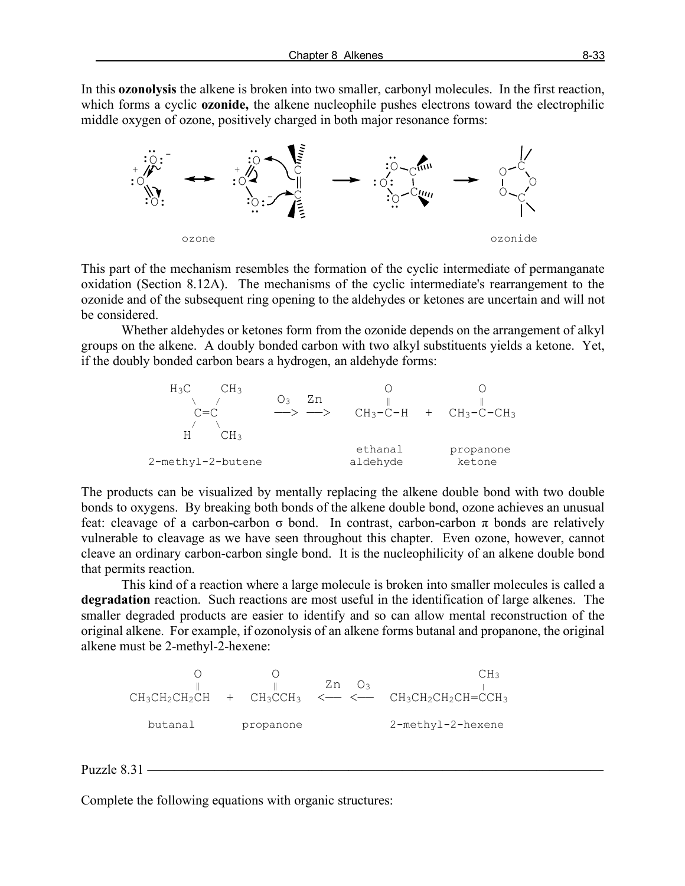In this **ozonolysis** the alkene is broken into two smaller, carbonyl molecules. In the first reaction, which forms a cyclic **ozonide,** the alkene nucleophile pushes electrons toward the electrophilic middle oxygen of ozone, positively charged in both major resonance forms:



This part of the mechanism resembles the formation of the cyclic intermediate of permanganate oxidation (Section 8.12A). The mechanisms of the cyclic intermediate's rearrangement to the ozonide and of the subsequent ring opening to the aldehydes or ketones are uncertain and will not be considered.

Whether aldehydes or ketones form from the ozonide depends on the arrangement of alkyl groups on the alkene. A doubly bonded carbon with two alkyl substituents yields a ketone. Yet, if the doubly bonded carbon bears a hydrogen, an aldehyde forms:



The products can be visualized by mentally replacing the alkene double bond with two double bonds to oxygens. By breaking both bonds of the alkene double bond, ozone achieves an unusual feat: cleavage of a carbon-carbon σ bond. In contrast, carbon-carbon π bonds are relatively vulnerable to cleavage as we have seen throughout this chapter. Even ozone, however, cannot cleave an ordinary carbon-carbon single bond. It is the nucleophilicity of an alkene double bond that permits reaction.

This kind of a reaction where a large molecule is broken into smaller molecules is called a **degradation** reaction. Such reactions are most useful in the identification of large alkenes. The smaller degraded products are easier to identify and so can allow mental reconstruction of the original alkene. For example, if ozonolysis of an alkene forms butanal and propanone, the original alkene must be 2-methyl-2-hexene:

 $O$  O CH<sub>3</sub> ‖ ‖ Zn O3 |  $CH_3CH_2CH_2CH$  +  $CH_3CCH_3$  <— <—  $CH_3CH_2CH_2CH=CCH_3$ butanal propanone 2-methyl-2-hexene

#### Puzzle  $8.31$  —

Complete the following equations with organic structures: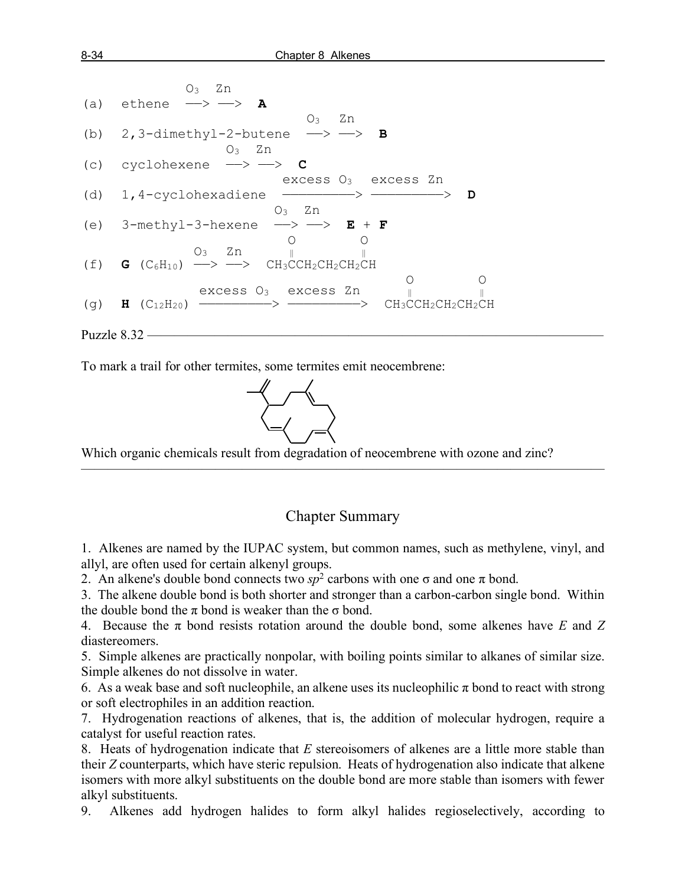

To mark a trail for other termites, some termites emit neocembrene:



 Which organic chemicals result from degradation of neocembrene with ozone and zinc?

### Chapter Summary

———————————————————————————————————————

1. Alkenes are named by the IUPAC system, but common names, such as methylene, vinyl, and allyl, are often used for certain alkenyl groups.

2. An alkene's double bond connects two  $sp^2$  carbons with one  $\sigma$  and one  $\pi$  bond.

3. The alkene double bond is both shorter and stronger than a carbon-carbon single bond. Within the double bond the  $\pi$  bond is weaker than the  $\sigma$  bond.

4. Because the π bond resists rotation around the double bond, some alkenes have *E* and *Z* diastereomers.

5. Simple alkenes are practically nonpolar, with boiling points similar to alkanes of similar size. Simple alkenes do not dissolve in water.

6. As a weak base and soft nucleophile, an alkene uses its nucleophilic  $\pi$  bond to react with strong or soft electrophiles in an addition reaction.

7. Hydrogenation reactions of alkenes, that is, the addition of molecular hydrogen, require a catalyst for useful reaction rates.

8. Heats of hydrogenation indicate that *E* stereoisomers of alkenes are a little more stable than their *Z* counterparts, which have steric repulsion. Heats of hydrogenation also indicate that alkene isomers with more alkyl substituents on the double bond are more stable than isomers with fewer alkyl substituents.

9. Alkenes add hydrogen halides to form alkyl halides regioselectively, according to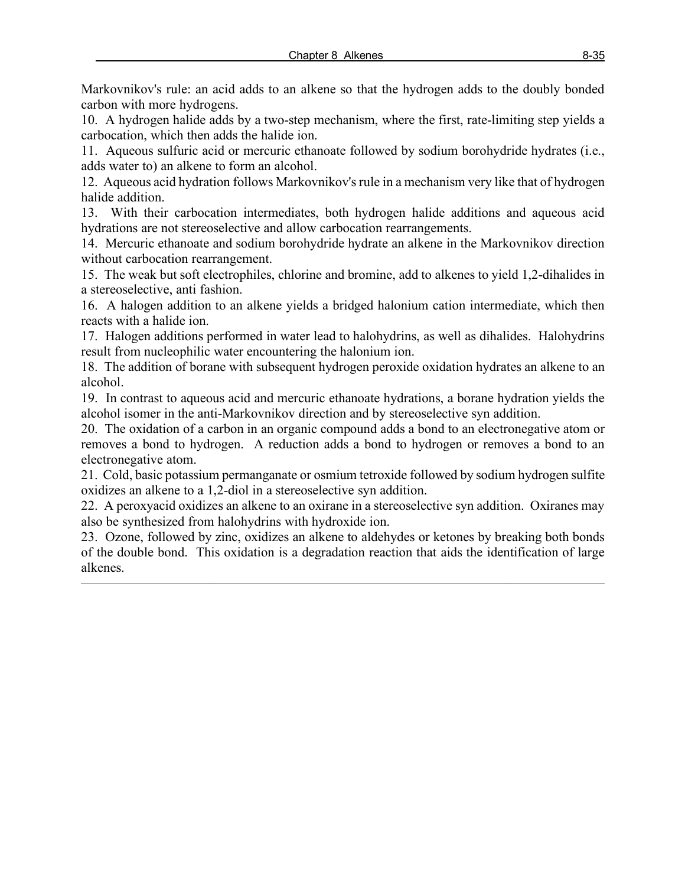Markovnikov's rule: an acid adds to an alkene so that the hydrogen adds to the doubly bonded carbon with more hydrogens.

10. A hydrogen halide adds by a two-step mechanism, where the first, rate-limiting step yields a carbocation, which then adds the halide ion.

11. Aqueous sulfuric acid or mercuric ethanoate followed by sodium borohydride hydrates (i.e., adds water to) an alkene to form an alcohol.

12. Aqueous acid hydration follows Markovnikov's rule in a mechanism very like that of hydrogen halide addition.

13. With their carbocation intermediates, both hydrogen halide additions and aqueous acid hydrations are not stereoselective and allow carbocation rearrangements.

14. Mercuric ethanoate and sodium borohydride hydrate an alkene in the Markovnikov direction without carbocation rearrangement.

15. The weak but soft electrophiles, chlorine and bromine, add to alkenes to yield 1,2-dihalides in a stereoselective, anti fashion.

16. A halogen addition to an alkene yields a bridged halonium cation intermediate, which then reacts with a halide ion.

17. Halogen additions performed in water lead to halohydrins, as well as dihalides. Halohydrins result from nucleophilic water encountering the halonium ion.

18. The addition of borane with subsequent hydrogen peroxide oxidation hydrates an alkene to an alcohol.

19. In contrast to aqueous acid and mercuric ethanoate hydrations, a borane hydration yields the alcohol isomer in the anti-Markovnikov direction and by stereoselective syn addition.

20. The oxidation of a carbon in an organic compound adds a bond to an electronegative atom or removes a bond to hydrogen. A reduction adds a bond to hydrogen or removes a bond to an electronegative atom.

21. Cold, basic potassium permanganate or osmium tetroxide followed by sodium hydrogen sulfite oxidizes an alkene to a 1,2-diol in a stereoselective syn addition.

22. A peroxyacid oxidizes an alkene to an oxirane in a stereoselective syn addition. Oxiranes may also be synthesized from halohydrins with hydroxide ion.

23. Ozone, followed by zinc, oxidizes an alkene to aldehydes or ketones by breaking both bonds of the double bond. This oxidation is a degradation reaction that aids the identification of large alkenes.

 $\overline{\phantom{a}}$  , and the contract of the contract of  $\overline{\phantom{a}}$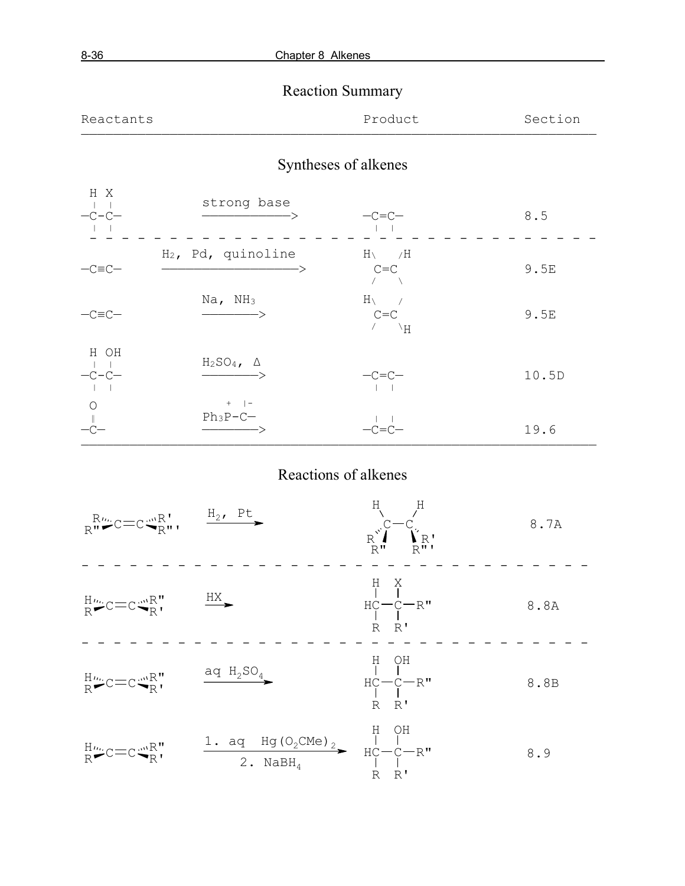# Reaction Summary

| Reactants | Product | Section |
|-----------|---------|---------|
|           |         |         |

# Syntheses of alkenes

| H X<br>$-C-C-$  | strong base                                  | $-c=c-$                                     | 8.5   |
|-----------------|----------------------------------------------|---------------------------------------------|-------|
| $-C\equiv C-$   | $H_2$ , Pd, quinoline<br>->                  | $H \setminus \qquad /H$<br>$C = C$          | 9.5E  |
| $-C\equiv C-$   | $Na$ , $NH3$<br>$\rightarrow$                | $H \setminus$<br>$C = C$<br>$\vee$ $\vee$ H | 9.5E  |
| H OH<br>$-C-C-$ | $H_2SO_4$ , $\Delta$<br>$\longrightarrow$    | $-C=C-$                                     | 10.5D |
| $\circ$         | $+$   $-$<br>$Ph_3P-C-$<br>$\longrightarrow$ | $-C=C$                                      | 19.6  |

# Reactions of alkenes

————————————————————————————————————————————————————————————————

| $R_{\mathbf{R}}^{\mathbf{R}\mu\nu}$ C=C $\mathbf{C}_{\mathbf{R}}^{\mathbf{M}}$ <sub>R</sub> '', $\xrightarrow{\mathbf{H}_{2}} \mathbf{P}_{2}^{\mathbf{L}}$ |                                                                                           | $H \qquad H$<br>$\sum_{\substack{\mathbf{R}^{\mathbf{V}}\\ \mathbf{R}^{\mathbf{H}}}}\sum_{\substack{\mathbf{R}^{\mathbf{H}}\\ \mathbf{R}^{\mathbf{H}}}}\mathbf{C}_{\mathbf{R}^{\mathbf{H}}},$ | 8.7A |
|------------------------------------------------------------------------------------------------------------------------------------------------------------|-------------------------------------------------------------------------------------------|-----------------------------------------------------------------------------------------------------------------------------------------------------------------------------------------------|------|
| $H_{R}^{\prime\prime\prime}$ c=c $\leftarrow R_{R}^{\prime\prime}$ $H_{R}^{\prime\prime}$ $\longrightarrow$                                                |                                                                                           | $\begin{array}{c} \text{H} \quad \text{X} \\ \mid \quad \mid \\ \text{H}\text{C}\text{--}\text{C}\text{--}\text{R}\text{''} \end{array}$<br>$R$ $R'$                                          | 8.8A |
| $H_{R}^{\prime\prime\prime}$ c=c $\mathbb{R}^{mR}$                                                                                                         | $\overline{q}$ H <sub>2</sub> SO <sub>4</sub>                                             | $\begin{array}{c} \text{H} \quad \text{OH} \\ \mid \quad \mid \\ \text{H}\text{C}\text{---}\text{C}\text{---}\text{R} \text{''} \end{array}$<br>$R$ $R'$                                      | 8.8B |
| $H_{R}^{\prime\prime\prime}$ c=c $\mathbb{C}$ $\mathbb{R}$ <sup>"</sup>                                                                                    | 1. aq Hg(O <sub>2</sub> CMe) <sub>2</sub> $\uparrow$ H OH<br>2. NaBH <sub>4</sub> HC-C-R" |                                                                                                                                                                                               | 8.9  |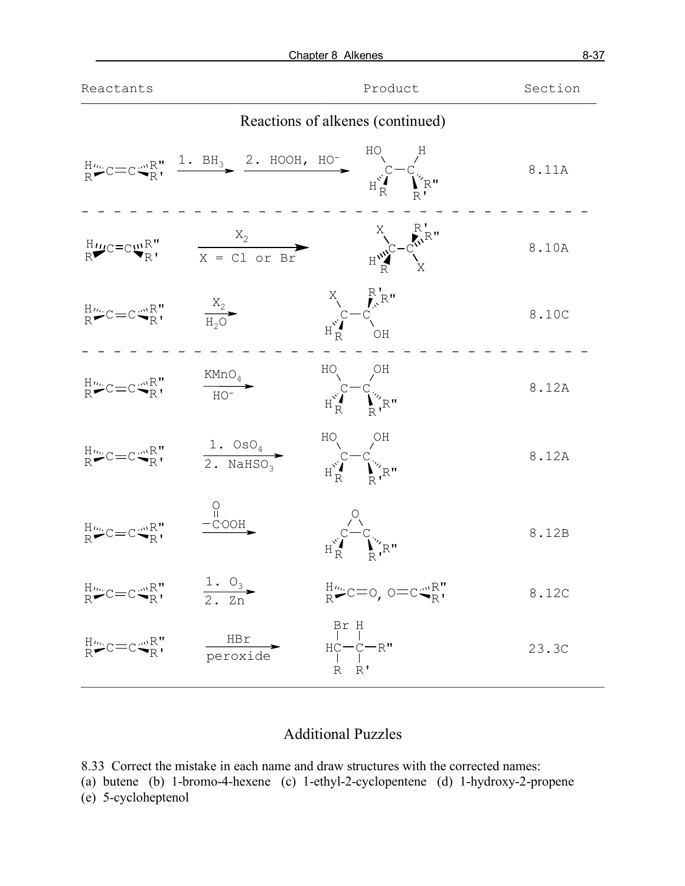|                                                                                                               | Chapter 8 Alkenes                                                                          |                                                                                                                                                                                                                                                                                                                                                  | $8 - 37$ |
|---------------------------------------------------------------------------------------------------------------|--------------------------------------------------------------------------------------------|--------------------------------------------------------------------------------------------------------------------------------------------------------------------------------------------------------------------------------------------------------------------------------------------------------------------------------------------------|----------|
| Reactants                                                                                                     |                                                                                            | Product                                                                                                                                                                                                                                                                                                                                          | Section  |
|                                                                                                               |                                                                                            | Reactions of alkenes (continued)                                                                                                                                                                                                                                                                                                                 |          |
|                                                                                                               |                                                                                            | $R^{\text{H}_{\text{tot}}}C=C^{\text{m}_{R}R}$ , $\frac{1. BH_{3}}{1. R}$ $\frac{2. HOOH, HO^{-}C^{\text{m}_{R}C}-C^{\text{m}_{R}C}}{H_{R}^{S}$                                                                                                                                                                                                  | 8.11A    |
|                                                                                                               |                                                                                            | $\frac{H_{U}}{R}C=C_{W}^{U}R^{U}$ $\frac{X_{2}}{X = CL \text{ or } Br}$ $\frac{X_{1}}{H_{1}^{W}C}-C_{V}^{W}R^{U}$                                                                                                                                                                                                                                | 8.10A    |
| $R^{\mu\nu}_{R}C=C^{\mu\nu}_{R}R^{\nu}_{R}$ $\qquad \qquad \frac{X_{2}}{H_{2}O}$                              |                                                                                            | $X \n\begin{matrix} R' \\ R' \end{matrix}$ $C - C \n\begin{matrix} R' \\ R'' \end{matrix}$                                                                                                                                                                                                                                                       | 8.10C    |
| $R^{\mu \ldots}_{R}C=C^{\mu \ldots}_{R}R^{\prime \prime}_{R}$ $\xrightarrow{\text{KMD}_{4}}$                  |                                                                                            | $\begin{picture}(120,140)(-20,140) \put(0,0){\line(1,0){15}} \put(15,0){\line(1,0){15}} \put(15,0){\line(1,0){15}} \put(15,0){\line(1,0){15}} \put(15,0){\line(1,0){15}} \put(15,0){\line(1,0){15}} \put(15,0){\line(1,0){15}} \put(15,0){\line(1,0){15}} \put(15,0){\line(1,0){15}} \put(15,0){\line(1,0){15}} \put(15,0){\line(1,0){15}} \put$ | 8.12A    |
|                                                                                                               | $R^{\mu\nu}_{R}C=C^{\mu\nu}_{R}R^{\nu}$ $\frac{1.0sO_4}{2.NAHSO_3}$                        | $H^{\circ}$ C $-C^{\circ}$<br>$H^{\circ}$ $\bigcup_{n=1}^{\infty}$ $H^{\circ}$ $\bigcup_{n=1}^{\infty}$ $H^{\circ}$                                                                                                                                                                                                                              | 8.12A    |
| $H_{\text{R}}^{\text{H}}C=C_{\text{R}}^{\text{m}}R_{\text{R}}^{\text{H}}$ $\xrightarrow{\text{C} \text{OOH}}$ |                                                                                            | $\begin{array}{cc}\nC \\ C\n\end{array}$ $\begin{array}{cc}\nC \\ T \\ R\n\end{array}$ $\begin{array}{cc}\nT \\ T \\ R\n\end{array}$                                                                                                                                                                                                             | 8.12B    |
| $R^{\mu\nu}_{R}C=C^{\mu\nu}_{R}R^{\nu}_{R}$ $\frac{1. Q_3}{2. Zn}$                                            |                                                                                            | $E_{\rm R}^{\rm H}$ C=0, 0=c $E_{\rm R}^{\rm m}$                                                                                                                                                                                                                                                                                                 | 8.12C    |
|                                                                                                               | ${}^{\text{H}_{\text{m}}}_{\text{R}}$ $C = C \frac{mR}{R}$ , $\frac{HBr}{\text{peroxide}}$ | Br H<br>   <br>HC – C – R "<br>   <br>R R '                                                                                                                                                                                                                                                                                                      | 23.3C    |

## Additional Puzzles

8.33 Correct the mistake in each name and draw structures with the corrected names:

(a) butene (b) 1-bromo-4-hexene (c) 1-ethyl-2-cyclopentene (d) 1-hydroxy-2-propene

(e) 5-cycloheptenol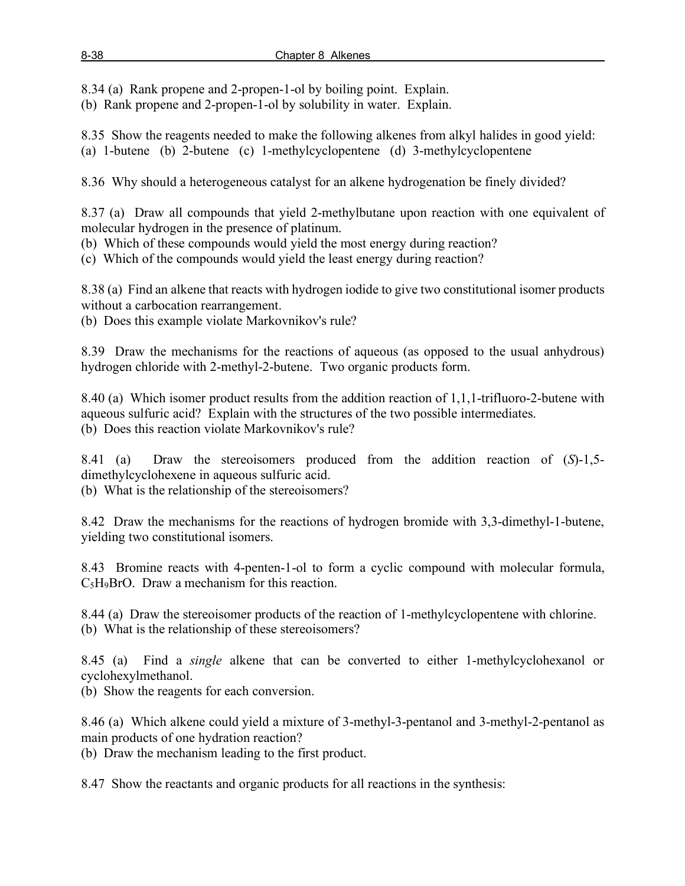8.34 (a) Rank propene and 2-propen-1-ol by boiling point. Explain.

(b) Rank propene and 2-propen-1-ol by solubility in water. Explain.

8.35 Show the reagents needed to make the following alkenes from alkyl halides in good yield: (a) 1-butene (b) 2-butene (c) 1-methylcyclopentene (d) 3-methylcyclopentene

8.36 Why should a heterogeneous catalyst for an alkene hydrogenation be finely divided?

8.37 (a) Draw all compounds that yield 2-methylbutane upon reaction with one equivalent of molecular hydrogen in the presence of platinum.

(b) Which of these compounds would yield the most energy during reaction?

(c) Which of the compounds would yield the least energy during reaction?

8.38 (a) Find an alkene that reacts with hydrogen iodide to give two constitutional isomer products without a carbocation rearrangement.

(b) Does this example violate Markovnikov's rule?

8.39 Draw the mechanisms for the reactions of aqueous (as opposed to the usual anhydrous) hydrogen chloride with 2-methyl-2-butene. Two organic products form.

8.40 (a) Which isomer product results from the addition reaction of 1,1,1-trifluoro-2-butene with aqueous sulfuric acid? Explain with the structures of the two possible intermediates. (b) Does this reaction violate Markovnikov's rule?

8.41 (a) Draw the stereoisomers produced from the addition reaction of (*S*)-1,5 dimethylcyclohexene in aqueous sulfuric acid.

(b) What is the relationship of the stereoisomers?

8.42 Draw the mechanisms for the reactions of hydrogen bromide with 3,3-dimethyl-1-butene, yielding two constitutional isomers.

8.43 Bromine reacts with 4-penten-1-ol to form a cyclic compound with molecular formula, C5H9BrO. Draw a mechanism for this reaction.

8.44 (a) Draw the stereoisomer products of the reaction of 1-methylcyclopentene with chlorine. (b) What is the relationship of these stereoisomers?

8.45 (a) Find a *single* alkene that can be converted to either 1-methylcyclohexanol or cyclohexylmethanol.

(b) Show the reagents for each conversion.

8.46 (a) Which alkene could yield a mixture of 3-methyl-3-pentanol and 3-methyl-2-pentanol as main products of one hydration reaction?

(b) Draw the mechanism leading to the first product.

8.47 Show the reactants and organic products for all reactions in the synthesis: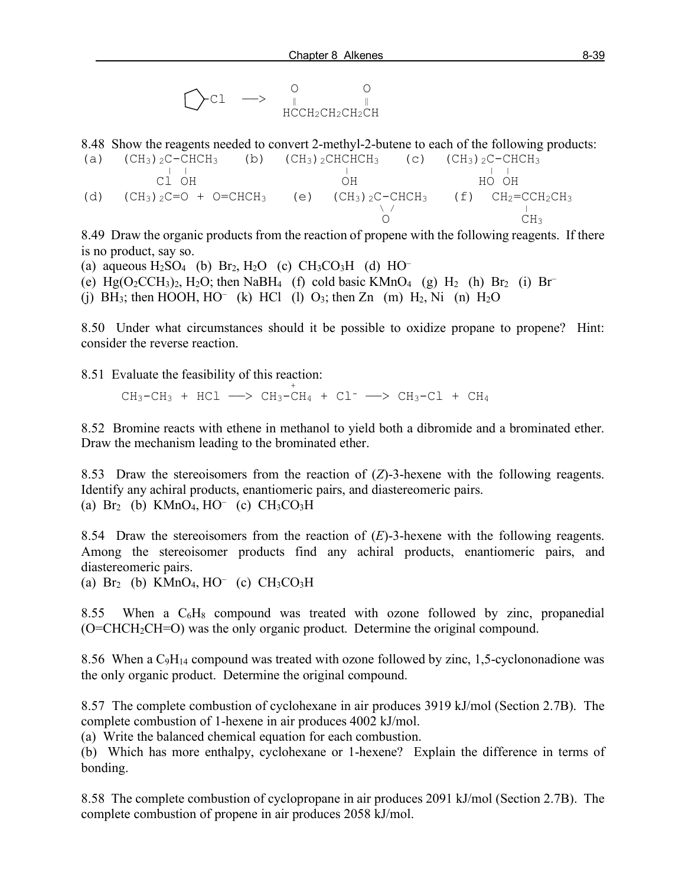$$
\bigodot \texttt{cl} \quad \longrightarrow \quad \underset{\text{H}\text{C}\text{CH}_2\text{CH}_2\text{CH}_2\text{CH}_2}{\overset{0}{\underset{\text{C}}{\text{C}}}\quad \underset{\text{C}}{\overset{0}{\text{C}}}
$$

8.48 Show the reagents needed to convert 2-methyl-2-butene to each of the following products:

(a)  $(CH_3)_{2}C-CHCH_3$  (b)  $(CH_3)_{2}CHCHCH_3$  (c)  $(CH_3)_{2}C-CHCH_3$ <br>  $Cl_3H_3$   $CH_3$   $Cl_3$   $CHCH_3$  (c)  $(CH_3)_{2}C-CHCH_3$ <br>  $CH_3$   $CH_3$   $CHCH_3$  (c)  $(CH_3)_{2}C-CHCH_3$ C1 OH OH OH (d)  $(CH_3)_2C=O + O=CHCH_3$  (e)  $(CH_3)_2C-CHCH_3$  (f)  $CH_2=CCH_2CH_3$ <br>  $O$   $CH_3$  $O$  CH<sub>3</sub>

8.49 Draw the organic products from the reaction of propene with the following reagents. If there is no product, say so.

(a) aqueous  $H_2SO_4$  (b)  $Br_2$ ,  $H_2O$  (c)  $CH_3CO_3H$  (d)  $HO^-$ 

(e) Hg(O<sub>2</sub>CCH<sub>3</sub>)<sub>2</sub>, H<sub>2</sub>O; then NaBH<sub>4</sub> (f) cold basic KMnO<sub>4</sub> (g) H<sub>2</sub> (h) Br<sub>2</sub> (i) Br<sup>-</sup>

(j) BH<sub>3</sub>; then HOOH, HO<sup>-</sup> (k) HCl (l) O<sub>3</sub>; then Zn (m) H<sub>2</sub>, Ni (n) H<sub>2</sub>O

8.50 Under what circumstances should it be possible to oxidize propane to propene? Hint: consider the reverse reaction.

8.51 Evaluate the feasibility of this reaction:  $\frac{1}{2}$ .  $\frac{1}{2}$  raidate the reasonity of this reach

 $CH_3-CH_3$  +  $HCl$  -  $>$   $CH_3-CH_4$  +  $Cl^-$  -  $>$   $CH_3-Cl$  +  $CH_4$ 

8.52 Bromine reacts with ethene in methanol to yield both a dibromide and a brominated ether. Draw the mechanism leading to the brominated ether.

8.53 Draw the stereoisomers from the reaction of (*Z*)-3-hexene with the following reagents. Identify any achiral products, enantiomeric pairs, and diastereomeric pairs. (a)  $Br_2$  (b) KMnO<sub>4</sub>, HO<sup>–</sup> (c)  $CH_3CO_3H$ 

8.54 Draw the stereoisomers from the reaction of (*E*)-3-hexene with the following reagents. Among the stereoisomer products find any achiral products, enantiomeric pairs, and diastereomeric pairs.

(a)  $Br_2$  (b) KMnO<sub>4</sub>, HO<sup>–</sup> (c) CH<sub>3</sub>CO<sub>3</sub>H

8.55 When a  $C_6H_8$  compound was treated with ozone followed by zinc, propanedial (O=CHCH2CH=O) was the only organic product. Determine the original compound.

8.56 When a  $C_9H_{14}$  compound was treated with ozone followed by zinc, 1,5-cyclononadione was the only organic product. Determine the original compound.

8.57 The complete combustion of cyclohexane in air produces 3919 kJ/mol (Section 2.7B). The complete combustion of 1-hexene in air produces 4002 kJ/mol.

(a) Write the balanced chemical equation for each combustion.

(b) Which has more enthalpy, cyclohexane or 1-hexene? Explain the difference in terms of bonding.

8.58 The complete combustion of cyclopropane in air produces 2091 kJ/mol (Section 2.7B). The complete combustion of propene in air produces 2058 kJ/mol.